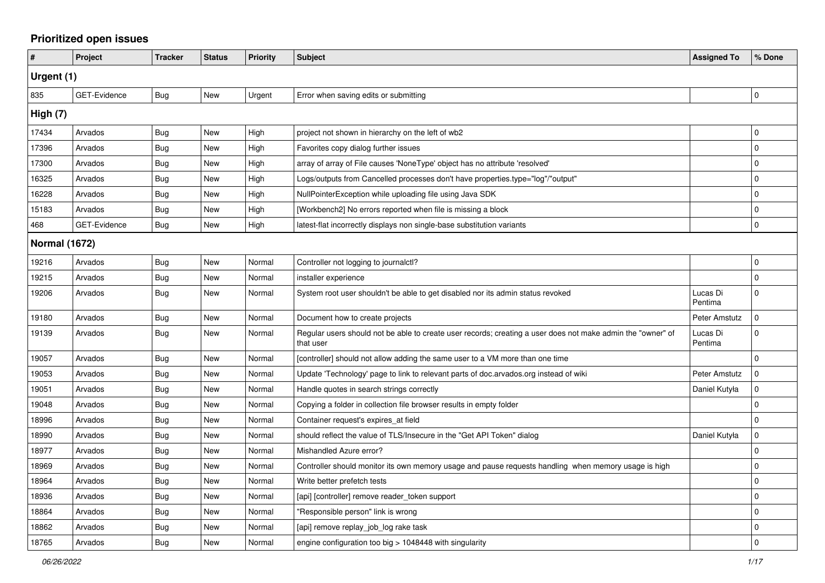## **Prioritized open issues**

| $\pmb{\#}$           | Project             | <b>Tracker</b> | <b>Status</b> | <b>Priority</b> | <b>Subject</b>                                                                                                           | <b>Assigned To</b>  | % Done      |
|----------------------|---------------------|----------------|---------------|-----------------|--------------------------------------------------------------------------------------------------------------------------|---------------------|-------------|
| Urgent (1)           |                     |                |               |                 |                                                                                                                          |                     |             |
| 835                  | <b>GET-Evidence</b> | <b>Bug</b>     | <b>New</b>    | Urgent          | Error when saving edits or submitting                                                                                    |                     | $\mathbf 0$ |
| High (7)             |                     |                |               |                 |                                                                                                                          |                     |             |
| 17434                | Arvados             | <b>Bug</b>     | New           | High            | project not shown in hierarchy on the left of wb2                                                                        |                     | 0           |
| 17396                | Arvados             | <b>Bug</b>     | New           | High            | Favorites copy dialog further issues                                                                                     |                     | $\mathbf 0$ |
| 17300                | Arvados             | Bug            | New           | High            | array of array of File causes 'NoneType' object has no attribute 'resolved'                                              |                     | $\mathbf 0$ |
| 16325                | Arvados             | <b>Bug</b>     | New           | High            | Logs/outputs from Cancelled processes don't have properties.type="log"/"output"                                          |                     | $\Omega$    |
| 16228                | Arvados             | <b>Bug</b>     | <b>New</b>    | High            | NullPointerException while uploading file using Java SDK                                                                 |                     | $\Omega$    |
| 15183                | Arvados             | Bug            | New           | High            | [Workbench2] No errors reported when file is missing a block                                                             |                     | $\mathbf 0$ |
| 468                  | <b>GET-Evidence</b> | Bug            | New           | High            | latest-flat incorrectly displays non single-base substitution variants                                                   |                     | $\mathbf 0$ |
| <b>Normal (1672)</b> |                     |                |               |                 |                                                                                                                          |                     |             |
| 19216                | Arvados             | <b>Bug</b>     | <b>New</b>    | Normal          | Controller not logging to journalctl?                                                                                    |                     | $\mathbf 0$ |
| 19215                | Arvados             | Bug            | New           | Normal          | installer experience                                                                                                     |                     | $\mathbf 0$ |
| 19206                | Arvados             | <b>Bug</b>     | New           | Normal          | System root user shouldn't be able to get disabled nor its admin status revoked                                          | Lucas Di<br>Pentima | $\Omega$    |
| 19180                | Arvados             | Bug            | <b>New</b>    | Normal          | Document how to create projects                                                                                          | Peter Amstutz       | $\Omega$    |
| 19139                | Arvados             | <b>Bug</b>     | New           | Normal          | Regular users should not be able to create user records; creating a user does not make admin the "owner" of<br>that user | Lucas Di<br>Pentima | $\Omega$    |
| 19057                | Arvados             | Bug            | New           | Normal          | [controller] should not allow adding the same user to a VM more than one time                                            |                     | $\mathbf 0$ |
| 19053                | Arvados             | <b>Bug</b>     | New           | Normal          | Update 'Technology' page to link to relevant parts of doc.arvados.org instead of wiki                                    | Peter Amstutz       | $\mathbf 0$ |
| 19051                | Arvados             | <b>Bug</b>     | New           | Normal          | Handle quotes in search strings correctly                                                                                | Daniel Kutyła       | $\mathbf 0$ |
| 19048                | Arvados             | <b>Bug</b>     | New           | Normal          | Copying a folder in collection file browser results in empty folder                                                      |                     | $\Omega$    |
| 18996                | Arvados             | <b>Bug</b>     | New           | Normal          | Container request's expires_at field                                                                                     |                     | $\Omega$    |
| 18990                | Arvados             | Bug            | New           | Normal          | should reflect the value of TLS/Insecure in the "Get API Token" dialog                                                   | Daniel Kutyła       | 0           |
| 18977                | Arvados             | <b>Bug</b>     | New           | Normal          | Mishandled Azure error?                                                                                                  |                     | $\mathbf 0$ |
| 18969                | Arvados             | Bug            | New           | Normal          | Controller should monitor its own memory usage and pause requests handling when memory usage is high                     |                     | $\mathbf 0$ |
| 18964                | Arvados             | <b>Bug</b>     | New           | Normal          | Write better prefetch tests                                                                                              |                     | $\mathbf 0$ |
| 18936                | Arvados             | <b>Bug</b>     | <b>New</b>    | Normal          | [api] [controller] remove reader_token support                                                                           |                     | $\Omega$    |
| 18864                | Arvados             | <b>Bug</b>     | New           | Normal          | "Responsible person" link is wrong                                                                                       |                     | $\mathbf 0$ |
| 18862                | Arvados             | Bug            | New           | Normal          | [api] remove replay_job_log rake task                                                                                    |                     | $\Omega$    |
| 18765                | Arvados             | Bug            | New           | Normal          | engine configuration too big $> 1048448$ with singularity                                                                |                     | $\Omega$    |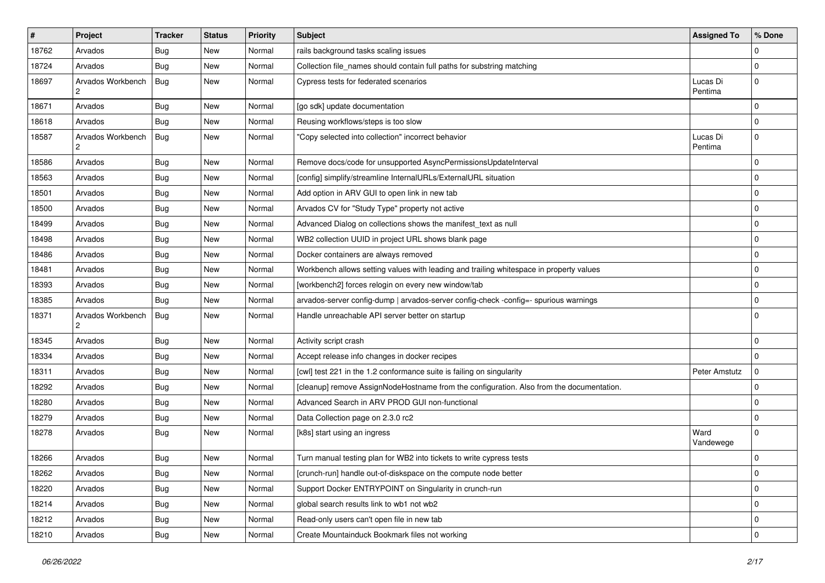| $\sharp$ | Project                | <b>Tracker</b> | <b>Status</b> | <b>Priority</b> | <b>Subject</b>                                                                           | <b>Assigned To</b>  | % Done         |
|----------|------------------------|----------------|---------------|-----------------|------------------------------------------------------------------------------------------|---------------------|----------------|
| 18762    | Arvados                | Bug            | New           | Normal          | rails background tasks scaling issues                                                    |                     | 0              |
| 18724    | Arvados                | Bug            | New           | Normal          | Collection file_names should contain full paths for substring matching                   |                     | $\overline{0}$ |
| 18697    | Arvados Workbench      | Bug            | New           | Normal          | Cypress tests for federated scenarios                                                    | Lucas Di<br>Pentima | $\mathbf 0$    |
| 18671    | Arvados                | Bug            | New           | Normal          | [go sdk] update documentation                                                            |                     | $\overline{0}$ |
| 18618    | Arvados                | Bug            | New           | Normal          | Reusing workflows/steps is too slow                                                      |                     | $\overline{0}$ |
| 18587    | Arvados Workbench<br>2 | Bug            | New           | Normal          | "Copy selected into collection" incorrect behavior                                       | Lucas Di<br>Pentima | $\overline{0}$ |
| 18586    | Arvados                | Bug            | New           | Normal          | Remove docs/code for unsupported AsyncPermissionsUpdateInterval                          |                     | $\overline{0}$ |
| 18563    | Arvados                | Bug            | New           | Normal          | [config] simplify/streamline InternalURLs/ExternalURL situation                          |                     | $\overline{0}$ |
| 18501    | Arvados                | Bug            | New           | Normal          | Add option in ARV GUI to open link in new tab                                            |                     | $\overline{0}$ |
| 18500    | Arvados                | Bug            | New           | Normal          | Arvados CV for "Study Type" property not active                                          |                     | $\overline{0}$ |
| 18499    | Arvados                | Bug            | New           | Normal          | Advanced Dialog on collections shows the manifest_text as null                           |                     | $\mathbf 0$    |
| 18498    | Arvados                | Bug            | New           | Normal          | WB2 collection UUID in project URL shows blank page                                      |                     | $\mathbf 0$    |
| 18486    | Arvados                | Bug            | <b>New</b>    | Normal          | Docker containers are always removed                                                     |                     | $\overline{0}$ |
| 18481    | Arvados                | Bug            | New           | Normal          | Workbench allows setting values with leading and trailing whitespace in property values  |                     | $\mathbf 0$    |
| 18393    | Arvados                | Bug            | New           | Normal          | [workbench2] forces relogin on every new window/tab                                      |                     | $\overline{0}$ |
| 18385    | Arvados                | Bug            | New           | Normal          | arvados-server config-dump   arvados-server config-check -config=- spurious warnings     |                     | $\overline{0}$ |
| 18371    | Arvados Workbench      | Bug            | New           | Normal          | Handle unreachable API server better on startup                                          |                     | $\Omega$       |
| 18345    | Arvados                | Bug            | New           | Normal          | Activity script crash                                                                    |                     | $\overline{0}$ |
| 18334    | Arvados                | Bug            | New           | Normal          | Accept release info changes in docker recipes                                            |                     | $\overline{0}$ |
| 18311    | Arvados                | Bug            | New           | Normal          | [cwl] test 221 in the 1.2 conformance suite is failing on singularity                    | Peter Amstutz       | $\mathbf 0$    |
| 18292    | Arvados                | Bug            | New           | Normal          | [cleanup] remove AssignNodeHostname from the configuration. Also from the documentation. |                     | $\overline{0}$ |
| 18280    | Arvados                | Bug            | New           | Normal          | Advanced Search in ARV PROD GUI non-functional                                           |                     | $\overline{0}$ |
| 18279    | Arvados                | Bug            | New           | Normal          | Data Collection page on 2.3.0 rc2                                                        |                     | $\mathbf 0$    |
| 18278    | Arvados                | Bug            | New           | Normal          | [k8s] start using an ingress                                                             | Ward<br>Vandewege   | $\mathbf 0$    |
| 18266    | Arvados                | Bug            | New           | Normal          | Turn manual testing plan for WB2 into tickets to write cypress tests                     |                     | 0              |
| 18262    | Arvados                | <b>Bug</b>     | New           | Normal          | [crunch-run] handle out-of-diskspace on the compute node better                          |                     | $\pmb{0}$      |
| 18220    | Arvados                | <b>Bug</b>     | New           | Normal          | Support Docker ENTRYPOINT on Singularity in crunch-run                                   |                     | $\mathbf 0$    |
| 18214    | Arvados                | <b>Bug</b>     | New           | Normal          | global search results link to wb1 not wb2                                                |                     | $\mathbf 0$    |
| 18212    | Arvados                | <b>Bug</b>     | New           | Normal          | Read-only users can't open file in new tab                                               |                     | $\mathbf 0$    |
| 18210    | Arvados                | <b>Bug</b>     | New           | Normal          | Create Mountainduck Bookmark files not working                                           |                     | $\mathbf 0$    |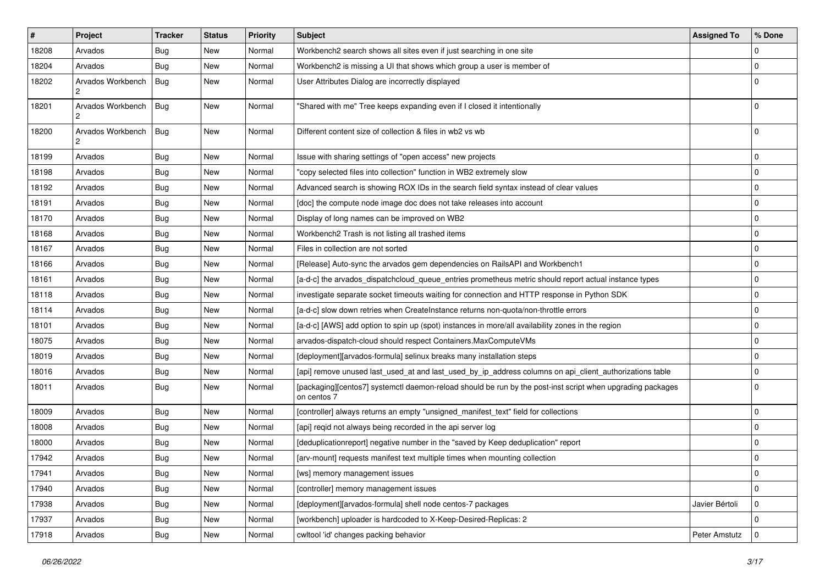| #     | Project           | <b>Tracker</b> | <b>Status</b> | <b>Priority</b> | <b>Subject</b>                                                                                                            | <b>Assigned To</b> | % Done      |
|-------|-------------------|----------------|---------------|-----------------|---------------------------------------------------------------------------------------------------------------------------|--------------------|-------------|
| 18208 | Arvados           | <b>Bug</b>     | <b>New</b>    | Normal          | Workbench2 search shows all sites even if just searching in one site                                                      |                    | 0           |
| 18204 | Arvados           | Bug            | <b>New</b>    | Normal          | Workbench2 is missing a UI that shows which group a user is member of                                                     |                    | $\mathbf 0$ |
| 18202 | Arvados Workbench | Bug            | New           | Normal          | User Attributes Dialog are incorrectly displayed                                                                          |                    | $\Omega$    |
| 18201 | Arvados Workbench | Bug            | New           | Normal          | 'Shared with me" Tree keeps expanding even if I closed it intentionally                                                   |                    | $\Omega$    |
| 18200 | Arvados Workbench | Bug            | <b>New</b>    | Normal          | Different content size of collection & files in wb2 vs wb                                                                 |                    | $\Omega$    |
| 18199 | Arvados           | Bug            | New           | Normal          | Issue with sharing settings of "open access" new projects                                                                 |                    | $\Omega$    |
| 18198 | Arvados           | Bug            | <b>New</b>    | Normal          | 'copy selected files into collection" function in WB2 extremely slow                                                      |                    | 0           |
| 18192 | Arvados           | <b>Bug</b>     | New           | Normal          | Advanced search is showing ROX IDs in the search field syntax instead of clear values                                     |                    | $\Omega$    |
| 18191 | Arvados           | <b>Bug</b>     | New           | Normal          | [doc] the compute node image doc does not take releases into account                                                      |                    | $\mathbf 0$ |
| 18170 | Arvados           | <b>Bug</b>     | New           | Normal          | Display of long names can be improved on WB2                                                                              |                    | 0           |
| 18168 | Arvados           | <b>Bug</b>     | New           | Normal          | Workbench2 Trash is not listing all trashed items                                                                         |                    | $\mathbf 0$ |
| 18167 | Arvados           | <b>Bug</b>     | <b>New</b>    | Normal          | Files in collection are not sorted                                                                                        |                    | $\mathbf 0$ |
| 18166 | Arvados           | <b>Bug</b>     | New           | Normal          | [Release] Auto-sync the arvados gem dependencies on RailsAPI and Workbench1                                               |                    | $\mathbf 0$ |
| 18161 | Arvados           | <b>Bug</b>     | <b>New</b>    | Normal          | [a-d-c] the arvados_dispatchcloud_queue_entries prometheus metric should report actual instance types                     |                    | $\mathbf 0$ |
| 18118 | Arvados           | <b>Bug</b>     | <b>New</b>    | Normal          | investigate separate socket timeouts waiting for connection and HTTP response in Python SDK                               |                    | 0           |
| 18114 | Arvados           | <b>Bug</b>     | New           | Normal          | [a-d-c] slow down retries when CreateInstance returns non-quota/non-throttle errors                                       |                    | $\Omega$    |
| 18101 | Arvados           | Bug            | <b>New</b>    | Normal          | [a-d-c] [AWS] add option to spin up (spot) instances in more/all availability zones in the region                         |                    | $\mathbf 0$ |
| 18075 | Arvados           | <b>Bug</b>     | New           | Normal          | arvados-dispatch-cloud should respect Containers.MaxComputeVMs                                                            |                    | $\mathbf 0$ |
| 18019 | Arvados           | <b>Bug</b>     | <b>New</b>    | Normal          | [deployment][arvados-formula] selinux breaks many installation steps                                                      |                    | $\Omega$    |
| 18016 | Arvados           | <b>Bug</b>     | New           | Normal          | [api] remove unused last_used_at and last_used_by_ip_address columns on api_client_authorizations table                   |                    | 0           |
| 18011 | Arvados           | Bug            | New           | Normal          | [packaging][centos7] systemctl daemon-reload should be run by the post-inst script when upgrading packages<br>on centos 7 |                    | $\Omega$    |
| 18009 | Arvados           | Bug            | New           | Normal          | [controller] always returns an empty "unsigned_manifest_text" field for collections                                       |                    | $\Omega$    |
| 18008 | Arvados           | <b>Bug</b>     | New           | Normal          | [api] reqid not always being recorded in the api server log                                                               |                    | $\mathbf 0$ |
| 18000 | Arvados           | <b>Bug</b>     | <b>New</b>    | Normal          | [deduplicationreport] negative number in the "saved by Keep deduplication" report                                         |                    | $\mathbf 0$ |
| 17942 | Arvados           | <b>Bug</b>     | New           | Normal          | [arv-mount] requests manifest text multiple times when mounting collection                                                |                    | $\Omega$    |
| 17941 | Arvados           | Bug            | New           | Normal          | [ws] memory management issues                                                                                             |                    | $\mathbf 0$ |
| 17940 | Arvados           | Bug            | New           | Normal          | [controller] memory management issues                                                                                     |                    | $\mathbf 0$ |
| 17938 | Arvados           | <b>Bug</b>     | New           | Normal          | [deployment][arvados-formula] shell node centos-7 packages                                                                | Javier Bértoli     | $\mathbf 0$ |
| 17937 | Arvados           | <b>Bug</b>     | New           | Normal          | [workbench] uploader is hardcoded to X-Keep-Desired-Replicas: 2                                                           |                    | $\mathbf 0$ |
| 17918 | Arvados           | <b>Bug</b>     | New           | Normal          | cwltool 'id' changes packing behavior                                                                                     | Peter Amstutz      | $\mathbf 0$ |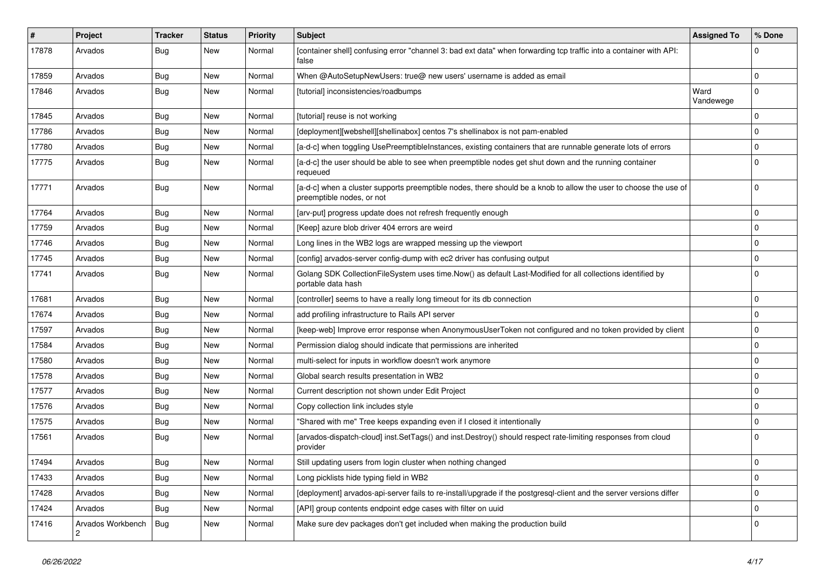| #     | Project           | <b>Tracker</b> | <b>Status</b> | <b>Priority</b> | <b>Subject</b>                                                                                                                                | <b>Assigned To</b> | % Done         |
|-------|-------------------|----------------|---------------|-----------------|-----------------------------------------------------------------------------------------------------------------------------------------------|--------------------|----------------|
| 17878 | Arvados           | Bug            | New           | Normal          | [container shell] confusing error "channel 3: bad ext data" when forwarding tcp traffic into a container with API:<br>false                   |                    | $\Omega$       |
| 17859 | Arvados           | Bug            | New           | Normal          | When @AutoSetupNewUsers: true@ new users' username is added as email                                                                          |                    | $\overline{0}$ |
| 17846 | Arvados           | Bug            | New           | Normal          | [tutorial] inconsistencies/roadbumps                                                                                                          | Ward<br>Vandewege  | $\overline{0}$ |
| 17845 | Arvados           | Bug            | New           | Normal          | [tutorial] reuse is not working                                                                                                               |                    | $\mathbf 0$    |
| 17786 | Arvados           | Bug            | <b>New</b>    | Normal          | [deployment][webshell][shellinabox] centos 7's shellinabox is not pam-enabled                                                                 |                    | $\overline{0}$ |
| 17780 | Arvados           | Bug            | New           | Normal          | [a-d-c] when toggling UsePreemptibleInstances, existing containers that are runnable generate lots of errors                                  |                    | $\mathbf 0$    |
| 17775 | Arvados           | Bug            | New           | Normal          | [a-d-c] the user should be able to see when preemptible nodes get shut down and the running container<br>requeued                             |                    | $\overline{0}$ |
| 17771 | Arvados           | Bug            | New           | Normal          | [a-d-c] when a cluster supports preemptible nodes, there should be a knob to allow the user to choose the use of<br>preemptible nodes, or not |                    | $\overline{0}$ |
| 17764 | Arvados           | Bug            | New           | Normal          | [arv-put] progress update does not refresh frequently enough                                                                                  |                    | $\mathbf 0$    |
| 17759 | Arvados           | Bug            | New           | Normal          | [Keep] azure blob driver 404 errors are weird                                                                                                 |                    | $\mathbf 0$    |
| 17746 | Arvados           | Bug            | New           | Normal          | Long lines in the WB2 logs are wrapped messing up the viewport                                                                                |                    | $\overline{0}$ |
| 17745 | Arvados           | Bug            | New           | Normal          | [config] arvados-server config-dump with ec2 driver has confusing output                                                                      |                    | $\mathbf 0$    |
| 17741 | Arvados           | Bug            | New           | Normal          | Golang SDK CollectionFileSystem uses time.Now() as default Last-Modified for all collections identified by<br>portable data hash              |                    | $\overline{0}$ |
| 17681 | Arvados           | <b>Bug</b>     | New           | Normal          | [controller] seems to have a really long timeout for its db connection                                                                        |                    | $\overline{0}$ |
| 17674 | Arvados           | Bug            | New           | Normal          | add profiling infrastructure to Rails API server                                                                                              |                    | $\overline{0}$ |
| 17597 | Arvados           | Bug            | New           | Normal          | [keep-web] Improve error response when AnonymousUserToken not configured and no token provided by client                                      |                    | $\mathbf 0$    |
| 17584 | Arvados           | Bug            | New           | Normal          | Permission dialog should indicate that permissions are inherited                                                                              |                    | $\overline{0}$ |
| 17580 | Arvados           | Bug            | New           | Normal          | multi-select for inputs in workflow doesn't work anymore                                                                                      |                    | $\overline{0}$ |
| 17578 | Arvados           | Bug            | New           | Normal          | Global search results presentation in WB2                                                                                                     |                    | $\mathbf 0$    |
| 17577 | Arvados           | Bug            | New           | Normal          | Current description not shown under Edit Project                                                                                              |                    | $\mathbf 0$    |
| 17576 | Arvados           | Bug            | New           | Normal          | Copy collection link includes style                                                                                                           |                    | $\mathbf 0$    |
| 17575 | Arvados           | Bug            | <b>New</b>    | Normal          | 'Shared with me" Tree keeps expanding even if I closed it intentionally                                                                       |                    | $\mathbf 0$    |
| 17561 | Arvados           | Bug            | New           | Normal          | [arvados-dispatch-cloud] inst.SetTags() and inst.Destroy() should respect rate-limiting responses from cloud<br>provider                      |                    | $\overline{0}$ |
| 17494 | Arvados           | Bug            | New           | Normal          | Still updating users from login cluster when nothing changed                                                                                  |                    | $\overline{0}$ |
| 17433 | Arvados           | <b>Bug</b>     | New           | Normal          | Long picklists hide typing field in WB2                                                                                                       |                    | $\overline{0}$ |
| 17428 | Arvados           | Bug            | New           | Normal          | [deployment] arvados-api-server fails to re-install/upgrade if the postgresql-client and the server versions differ                           |                    | $\mathbf 0$    |
| 17424 | Arvados           | Bug            | New           | Normal          | [API] group contents endpoint edge cases with filter on uuid                                                                                  |                    | 0              |
| 17416 | Arvados Workbench | Bug            | New           | Normal          | Make sure dev packages don't get included when making the production build                                                                    |                    | $\mathbf 0$    |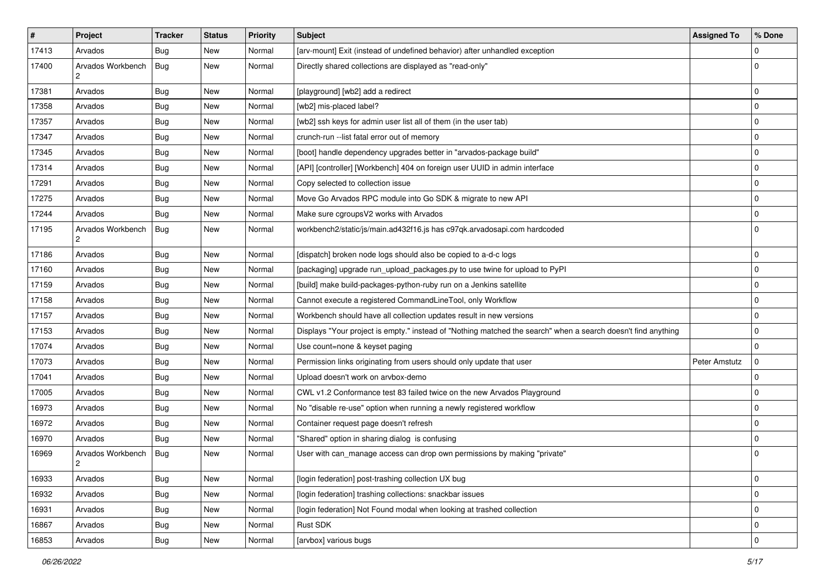| $\vert$ # | Project                | <b>Tracker</b> | <b>Status</b> | <b>Priority</b> | <b>Subject</b>                                                                                                | <b>Assigned To</b> | % Done      |
|-----------|------------------------|----------------|---------------|-----------------|---------------------------------------------------------------------------------------------------------------|--------------------|-------------|
| 17413     | Arvados                | Bug            | <b>New</b>    | Normal          | [arv-mount] Exit (instead of undefined behavior) after unhandled exception                                    |                    | $\Omega$    |
| 17400     | Arvados Workbench<br>2 | Bug            | New           | Normal          | Directly shared collections are displayed as "read-only"                                                      |                    | $\Omega$    |
| 17381     | Arvados                | <b>Bug</b>     | New           | Normal          | [playground] [wb2] add a redirect                                                                             |                    | 0           |
| 17358     | Arvados                | <b>Bug</b>     | <b>New</b>    | Normal          | [wb2] mis-placed label?                                                                                       |                    | $\mathbf 0$ |
| 17357     | Arvados                | Bug            | New           | Normal          | [wb2] ssh keys for admin user list all of them (in the user tab)                                              |                    | $\mathbf 0$ |
| 17347     | Arvados                | <b>Bug</b>     | New           | Normal          | crunch-run --list fatal error out of memory                                                                   |                    | $\mathbf 0$ |
| 17345     | Arvados                | <b>Bug</b>     | New           | Normal          | [boot] handle dependency upgrades better in "arvados-package build"                                           |                    | 0           |
| 17314     | Arvados                | Bug            | New           | Normal          | [API] [controller] [Workbench] 404 on foreign user UUID in admin interface                                    |                    | $\mathbf 0$ |
| 17291     | Arvados                | <b>Bug</b>     | New           | Normal          | Copy selected to collection issue                                                                             |                    | $\mathbf 0$ |
| 17275     | Arvados                | <b>Bug</b>     | New           | Normal          | Move Go Arvados RPC module into Go SDK & migrate to new API                                                   |                    | $\mathbf 0$ |
| 17244     | Arvados                | <b>Bug</b>     | New           | Normal          | Make sure cgroupsV2 works with Arvados                                                                        |                    | $\mathbf 0$ |
| 17195     | Arvados Workbench<br>2 | <b>Bug</b>     | New           | Normal          | workbench2/static/js/main.ad432f16.js has c97qk.arvadosapi.com hardcoded                                      |                    | $\Omega$    |
| 17186     | Arvados                | <b>Bug</b>     | <b>New</b>    | Normal          | [dispatch] broken node logs should also be copied to a-d-c logs                                               |                    | $\mathbf 0$ |
| 17160     | Arvados                | <b>Bug</b>     | New           | Normal          | [packaging] upgrade run_upload_packages.py to use twine for upload to PyPI                                    |                    | 0           |
| 17159     | Arvados                | <b>Bug</b>     | New           | Normal          | [build] make build-packages-python-ruby run on a Jenkins satellite                                            |                    | $\mathbf 0$ |
| 17158     | Arvados                | <b>Bug</b>     | <b>New</b>    | Normal          | Cannot execute a registered CommandLineTool, only Workflow                                                    |                    | 0           |
| 17157     | Arvados                | Bug            | New           | Normal          | Workbench should have all collection updates result in new versions                                           |                    | $\mathbf 0$ |
| 17153     | Arvados                | <b>Bug</b>     | New           | Normal          | Displays "Your project is empty." instead of "Nothing matched the search" when a search doesn't find anything |                    | $\mathbf 0$ |
| 17074     | Arvados                | <b>Bug</b>     | <b>New</b>    | Normal          | Use count=none & keyset paging                                                                                |                    | 0           |
| 17073     | Arvados                | Bug            | <b>New</b>    | Normal          | Permission links originating from users should only update that user                                          | Peter Amstutz      | $\Omega$    |
| 17041     | Arvados                | <b>Bug</b>     | New           | Normal          | Upload doesn't work on arvbox-demo                                                                            |                    | $\mathbf 0$ |
| 17005     | Arvados                | <b>Bug</b>     | New           | Normal          | CWL v1.2 Conformance test 83 failed twice on the new Arvados Playground                                       |                    | $\mathbf 0$ |
| 16973     | Arvados                | <b>Bug</b>     | New           | Normal          | No "disable re-use" option when running a newly registered workflow                                           |                    | $\mathbf 0$ |
| 16972     | Arvados                | <b>Bug</b>     | New           | Normal          | Container request page doesn't refresh                                                                        |                    | 0           |
| 16970     | Arvados                | Bug            | <b>New</b>    | Normal          | "Shared" option in sharing dialog is confusing                                                                |                    | $\mathbf 0$ |
| 16969     | Arvados Workbench<br>2 | Bug            | New           | Normal          | User with can_manage access can drop own permissions by making "private"                                      |                    | $\Omega$    |
| 16933     | Arvados                | Bug            | <b>New</b>    | Normal          | [login federation] post-trashing collection UX bug                                                            |                    | 0           |
| 16932     | Arvados                | <b>Bug</b>     | New           | Normal          | [login federation] trashing collections: snackbar issues                                                      |                    | 0           |
| 16931     | Arvados                | <b>Bug</b>     | New           | Normal          | [login federation] Not Found modal when looking at trashed collection                                         |                    | 0           |
| 16867     | Arvados                | Bug            | New           | Normal          | Rust SDK                                                                                                      |                    | $\mathbf 0$ |
| 16853     | Arvados                | <b>Bug</b>     | New           | Normal          | [arvbox] various bugs                                                                                         |                    | 0           |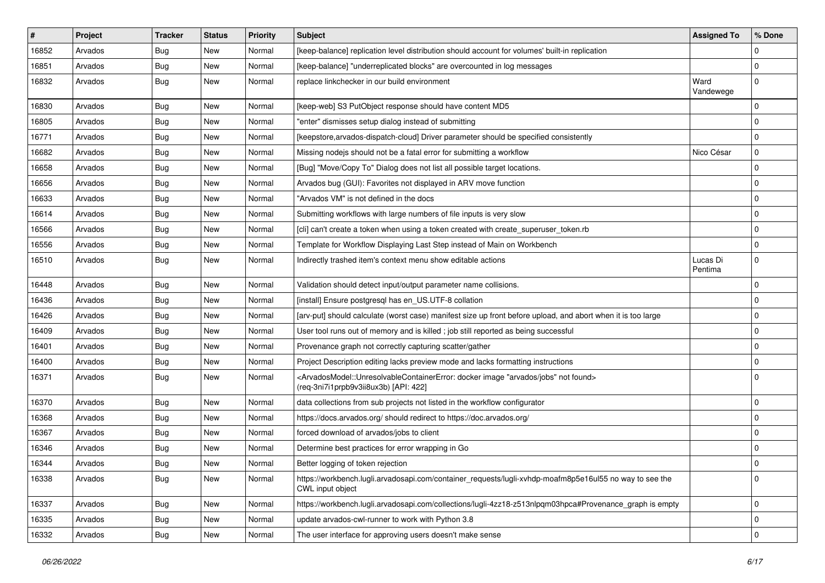| #     | Project | <b>Tracker</b> | <b>Status</b> | <b>Priority</b> | <b>Subject</b>                                                                                                                                                                            | <b>Assigned To</b>  | % Done      |
|-------|---------|----------------|---------------|-----------------|-------------------------------------------------------------------------------------------------------------------------------------------------------------------------------------------|---------------------|-------------|
| 16852 | Arvados | Bug            | <b>New</b>    | Normal          | [keep-balance] replication level distribution should account for volumes' built-in replication                                                                                            |                     | 0           |
| 16851 | Arvados | Bug            | <b>New</b>    | Normal          | [keep-balance] "underreplicated blocks" are overcounted in log messages                                                                                                                   |                     | $\mathbf 0$ |
| 16832 | Arvados | Bug            | New           | Normal          | replace linkchecker in our build environment                                                                                                                                              | Ward<br>Vandewege   | $\Omega$    |
| 16830 | Arvados | Bug            | New           | Normal          | [keep-web] S3 PutObject response should have content MD5                                                                                                                                  |                     | $\mathbf 0$ |
| 16805 | Arvados | Bug            | New           | Normal          | 'enter" dismisses setup dialog instead of submitting                                                                                                                                      |                     | $\mathbf 0$ |
| 16771 | Arvados | Bug            | New           | Normal          | [keepstore, arvados-dispatch-cloud] Driver parameter should be specified consistently                                                                                                     |                     | $\mathbf 0$ |
| 16682 | Arvados | <b>Bug</b>     | New           | Normal          | Missing nodejs should not be a fatal error for submitting a workflow                                                                                                                      | Nico César          | $\mathbf 0$ |
| 16658 | Arvados | <b>Bug</b>     | <b>New</b>    | Normal          | [Bug] "Move/Copy To" Dialog does not list all possible target locations.                                                                                                                  |                     | $\mathbf 0$ |
| 16656 | Arvados | Bug            | <b>New</b>    | Normal          | Arvados bug (GUI): Favorites not displayed in ARV move function                                                                                                                           |                     | 0           |
| 16633 | Arvados | <b>Bug</b>     | New           | Normal          | 'Arvados VM" is not defined in the docs                                                                                                                                                   |                     | $\Omega$    |
| 16614 | Arvados | <b>Bug</b>     | <b>New</b>    | Normal          | Submitting workflows with large numbers of file inputs is very slow                                                                                                                       |                     | $\mathbf 0$ |
| 16566 | Arvados | <b>Bug</b>     | New           | Normal          | [cli] can't create a token when using a token created with create superuser token.rb                                                                                                      |                     | $\mathbf 0$ |
| 16556 | Arvados | <b>Bug</b>     | <b>New</b>    | Normal          | Template for Workflow Displaying Last Step instead of Main on Workbench                                                                                                                   |                     | $\mathbf 0$ |
| 16510 | Arvados | Bug            | New           | Normal          | Indirectly trashed item's context menu show editable actions                                                                                                                              | Lucas Di<br>Pentima | $\mathbf 0$ |
| 16448 | Arvados | Bug            | New           | Normal          | Validation should detect input/output parameter name collisions.                                                                                                                          |                     | $\mathbf 0$ |
| 16436 | Arvados | <b>Bug</b>     | <b>New</b>    | Normal          | [install] Ensure postgresql has en_US.UTF-8 collation                                                                                                                                     |                     | $\Omega$    |
| 16426 | Arvados | <b>Bug</b>     | New           | Normal          | [arv-put] should calculate (worst case) manifest size up front before upload, and abort when it is too large                                                                              |                     | $\mathbf 0$ |
| 16409 | Arvados | <b>Bug</b>     | <b>New</b>    | Normal          | User tool runs out of memory and is killed ; job still reported as being successful                                                                                                       |                     | $\mathbf 0$ |
| 16401 | Arvados | <b>Bug</b>     | New           | Normal          | Provenance graph not correctly capturing scatter/gather                                                                                                                                   |                     | $\mathbf 0$ |
| 16400 | Arvados | <b>Bug</b>     | New           | Normal          | Project Description editing lacks preview mode and lacks formatting instructions                                                                                                          |                     | $\mathbf 0$ |
| 16371 | Arvados | <b>Bug</b>     | New           | Normal          | <arvadosmodel::unresolvablecontainererror: "arvados="" docker="" found="" image="" jobs"="" not=""><br/>(req-3ni7i1prpb9v3ii8ux3b) [API: 422]</arvadosmodel::unresolvablecontainererror:> |                     | $\Omega$    |
| 16370 | Arvados | Bug            | New           | Normal          | data collections from sub projects not listed in the workflow configurator                                                                                                                |                     | 0           |
| 16368 | Arvados | <b>Bug</b>     | New           | Normal          | https://docs.arvados.org/ should redirect to https://doc.arvados.org/                                                                                                                     |                     | $\mathbf 0$ |
| 16367 | Arvados | Bug            | <b>New</b>    | Normal          | forced download of arvados/jobs to client                                                                                                                                                 |                     | $\mathbf 0$ |
| 16346 | Arvados | <b>Bug</b>     | <b>New</b>    | Normal          | Determine best practices for error wrapping in Go                                                                                                                                         |                     | $\mathbf 0$ |
| 16344 | Arvados | Bug            | New           | Normal          | Better logging of token rejection                                                                                                                                                         |                     | $\Omega$    |
| 16338 | Arvados | <b>Bug</b>     | New           | Normal          | https://workbench.lugli.arvadosapi.com/container_requests/lugli-xvhdp-moafm8p5e16ul55 no way to see the<br>CWL input object                                                               |                     | $\mathbf 0$ |
| 16337 | Arvados | <b>Bug</b>     | New           | Normal          | https://workbench.lugli.arvadosapi.com/collections/lugli-4zz18-z513nlpqm03hpca#Provenance_graph is empty                                                                                  |                     | $\Omega$    |
| 16335 | Arvados | <b>Bug</b>     | New           | Normal          | update arvados-cwl-runner to work with Python 3.8                                                                                                                                         |                     | $\mathbf 0$ |
| 16332 | Arvados | <b>Bug</b>     | New           | Normal          | The user interface for approving users doesn't make sense                                                                                                                                 |                     | $\Omega$    |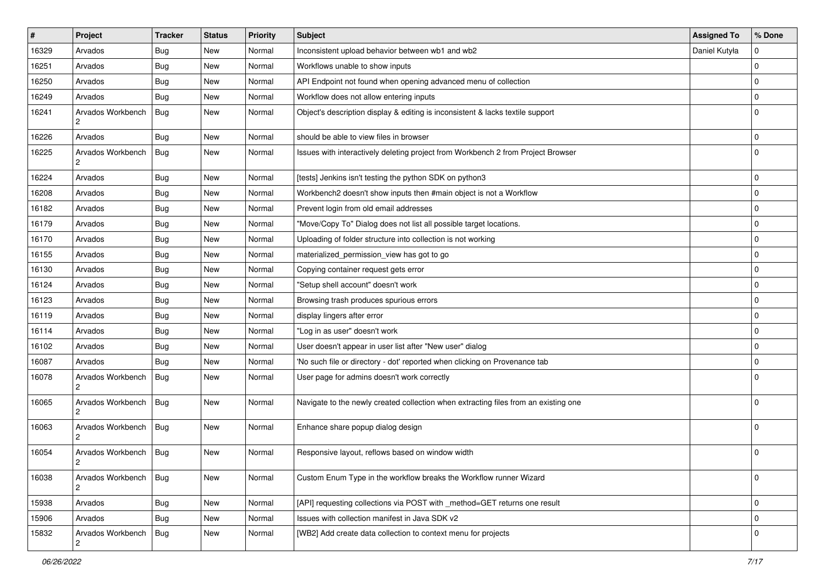| $\sharp$ | Project                             | <b>Tracker</b> | <b>Status</b> | <b>Priority</b> | <b>Subject</b>                                                                      | <b>Assigned To</b> | % Done      |
|----------|-------------------------------------|----------------|---------------|-----------------|-------------------------------------------------------------------------------------|--------------------|-------------|
| 16329    | Arvados                             | <b>Bug</b>     | <b>New</b>    | Normal          | Inconsistent upload behavior between wb1 and wb2                                    | Daniel Kutyła      | $\Omega$    |
| 16251    | Arvados                             | <b>Bug</b>     | <b>New</b>    | Normal          | Workflows unable to show inputs                                                     |                    | $\mathbf 0$ |
| 16250    | Arvados                             | Bug            | New           | Normal          | API Endpoint not found when opening advanced menu of collection                     |                    | $\mathbf 0$ |
| 16249    | Arvados                             | Bug            | New           | Normal          | Workflow does not allow entering inputs                                             |                    | $\mathbf 0$ |
| 16241    | Arvados Workbench<br>$\overline{c}$ | Bug            | New           | Normal          | Object's description display & editing is inconsistent & lacks textile support      |                    | $\Omega$    |
| 16226    | Arvados                             | Bug            | New           | Normal          | should be able to view files in browser                                             |                    | $\mathbf 0$ |
| 16225    | Arvados Workbench<br>2              | Bug            | <b>New</b>    | Normal          | Issues with interactively deleting project from Workbench 2 from Project Browser    |                    | $\Omega$    |
| 16224    | Arvados                             | <b>Bug</b>     | <b>New</b>    | Normal          | [tests] Jenkins isn't testing the python SDK on python3                             |                    | $\mathbf 0$ |
| 16208    | Arvados                             | Bug            | <b>New</b>    | Normal          | Workbench2 doesn't show inputs then #main object is not a Workflow                  |                    | $\mathbf 0$ |
| 16182    | Arvados                             | Bug            | New           | Normal          | Prevent login from old email addresses                                              |                    | $\mathbf 0$ |
| 16179    | Arvados                             | <b>Bug</b>     | <b>New</b>    | Normal          | "Move/Copy To" Dialog does not list all possible target locations.                  |                    | $\mathbf 0$ |
| 16170    | Arvados                             | Bug            | <b>New</b>    | Normal          | Uploading of folder structure into collection is not working                        |                    | 0           |
| 16155    | Arvados                             | Bug            | New           | Normal          | materialized_permission_view has got to go                                          |                    | $\mathbf 0$ |
| 16130    | Arvados                             | Bug            | New           | Normal          | Copying container request gets error                                                |                    | 0           |
| 16124    | Arvados                             | <b>Bug</b>     | <b>New</b>    | Normal          | "Setup shell account" doesn't work                                                  |                    | $\mathbf 0$ |
| 16123    | Arvados                             | <b>Bug</b>     | <b>New</b>    | Normal          | Browsing trash produces spurious errors                                             |                    | $\mathbf 0$ |
| 16119    | Arvados                             | <b>Bug</b>     | <b>New</b>    | Normal          | display lingers after error                                                         |                    | $\mathbf 0$ |
| 16114    | Arvados                             | <b>Bug</b>     | New           | Normal          | "Log in as user" doesn't work                                                       |                    | $\mathbf 0$ |
| 16102    | Arvados                             | <b>Bug</b>     | <b>New</b>    | Normal          | User doesn't appear in user list after "New user" dialog                            |                    | 0           |
| 16087    | Arvados                             | Bug            | New           | Normal          | 'No such file or directory - dot' reported when clicking on Provenance tab          |                    | $\mathbf 0$ |
| 16078    | Arvados Workbench<br>$\overline{2}$ | Bug            | New           | Normal          | User page for admins doesn't work correctly                                         |                    | $\Omega$    |
| 16065    | Arvados Workbench<br>$\overline{2}$ | Bug            | New           | Normal          | Navigate to the newly created collection when extracting files from an existing one |                    | $\mathbf 0$ |
| 16063    | Arvados Workbench<br>2              | Bug            | <b>New</b>    | Normal          | Enhance share popup dialog design                                                   |                    | $\Omega$    |
| 16054    | Arvados Workbench<br>2              | Bug            | <b>New</b>    | Normal          | Responsive layout, reflows based on window width                                    |                    | $\Omega$    |
| 16038    | Arvados Workbench                   | Bug            | New           | Normal          | Custom Enum Type in the workflow breaks the Workflow runner Wizard                  |                    | $\Omega$    |
| 15938    | Arvados                             | Bug            | New           | Normal          | [API] requesting collections via POST with method=GET returns one result            |                    | $\mathbf 0$ |
| 15906    | Arvados                             | Bug            | New           | Normal          | Issues with collection manifest in Java SDK v2                                      |                    | $\mathbf 0$ |
| 15832    | Arvados Workbench                   | Bug            | New           | Normal          | [WB2] Add create data collection to context menu for projects                       |                    | $\mathbf 0$ |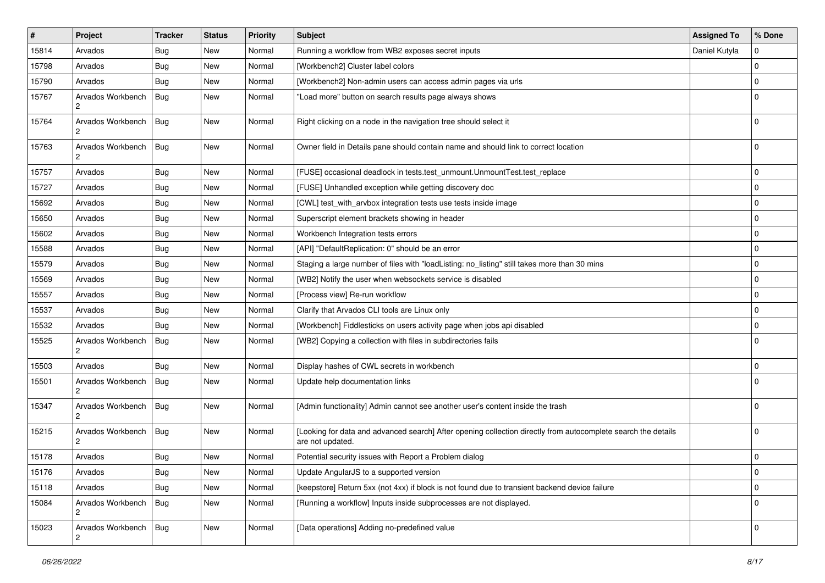| $\vert$ # | Project                | <b>Tracker</b> | <b>Status</b> | <b>Priority</b> | <b>Subject</b>                                                                                                                    | <b>Assigned To</b> | % Done      |
|-----------|------------------------|----------------|---------------|-----------------|-----------------------------------------------------------------------------------------------------------------------------------|--------------------|-------------|
| 15814     | Arvados                | Bug            | New           | Normal          | Running a workflow from WB2 exposes secret inputs                                                                                 | Daniel Kutyła      | $\Omega$    |
| 15798     | Arvados                | Bug            | <b>New</b>    | Normal          | [Workbench2] Cluster label colors                                                                                                 |                    | $\mathbf 0$ |
| 15790     | Arvados                | <b>Bug</b>     | <b>New</b>    | Normal          | [Workbench2] Non-admin users can access admin pages via urls                                                                      |                    | $\mathbf 0$ |
| 15767     | Arvados Workbench      | Bug            | New           | Normal          | 'Load more" button on search results page always shows                                                                            |                    | $\Omega$    |
| 15764     | Arvados Workbench      | Bug            | <b>New</b>    | Normal          | Right clicking on a node in the navigation tree should select it                                                                  |                    | $\Omega$    |
| 15763     | Arvados Workbench<br>2 | Bug            | New           | Normal          | Owner field in Details pane should contain name and should link to correct location                                               |                    | $\mathbf 0$ |
| 15757     | Arvados                | Bug            | <b>New</b>    | Normal          | [FUSE] occasional deadlock in tests.test_unmount.UnmountTest.test_replace                                                         |                    | $\mathbf 0$ |
| 15727     | Arvados                | <b>Bug</b>     | New           | Normal          | [FUSE] Unhandled exception while getting discovery doc                                                                            |                    | $\mathbf 0$ |
| 15692     | Arvados                | Bug            | <b>New</b>    | Normal          | [CWL] test_with_arvbox integration tests use tests inside image                                                                   |                    | $\Omega$    |
| 15650     | Arvados                | Bug            | <b>New</b>    | Normal          | Superscript element brackets showing in header                                                                                    |                    | $\mathbf 0$ |
| 15602     | Arvados                | <b>Bug</b>     | <b>New</b>    | Normal          | Workbench Integration tests errors                                                                                                |                    | $\Omega$    |
| 15588     | Arvados                | <b>Bug</b>     | <b>New</b>    | Normal          | [API] "DefaultReplication: 0" should be an error                                                                                  |                    | $\mathbf 0$ |
| 15579     | Arvados                | <b>Bug</b>     | New           | Normal          | Staging a large number of files with "loadListing: no listing" still takes more than 30 mins                                      |                    | 0           |
| 15569     | Arvados                | Bug            | <b>New</b>    | Normal          | [WB2] Notify the user when websockets service is disabled                                                                         |                    | $\mathbf 0$ |
| 15557     | Arvados                | <b>Bug</b>     | <b>New</b>    | Normal          | [Process view] Re-run workflow                                                                                                    |                    | $\mathbf 0$ |
| 15537     | Arvados                | <b>Bug</b>     | <b>New</b>    | Normal          | Clarify that Arvados CLI tools are Linux only                                                                                     |                    | $\mathbf 0$ |
| 15532     | Arvados                | <b>Bug</b>     | <b>New</b>    | Normal          | [Workbench] Fiddlesticks on users activity page when jobs api disabled                                                            |                    | $\mathbf 0$ |
| 15525     | Arvados Workbench<br>2 | Bug            | New           | Normal          | [WB2] Copying a collection with files in subdirectories fails                                                                     |                    | $\Omega$    |
| 15503     | Arvados                | Bug            | <b>New</b>    | Normal          | Display hashes of CWL secrets in workbench                                                                                        |                    | $\mathbf 0$ |
| 15501     | Arvados Workbench<br>2 | Bug            | <b>New</b>    | Normal          | Update help documentation links                                                                                                   |                    | $\Omega$    |
| 15347     | Arvados Workbench<br>2 | Bug            | New           | Normal          | [Admin functionality] Admin cannot see another user's content inside the trash                                                    |                    | $\Omega$    |
| 15215     | Arvados Workbench      | Bug            | <b>New</b>    | Normal          | [Looking for data and advanced search] After opening collection directly from autocomplete search the details<br>are not updated. |                    | $\Omega$    |
| 15178     | Arvados                | <b>Bug</b>     | <b>New</b>    | Normal          | Potential security issues with Report a Problem dialog                                                                            |                    | 0           |
| 15176     | Arvados                | Bug            | New           | Normal          | Update AngularJS to a supported version                                                                                           |                    | $\mathbf 0$ |
| 15118     | Arvados                | Bug            | New           | Normal          | [keepstore] Return 5xx (not 4xx) if block is not found due to transient backend device failure                                    |                    | $\mathbf 0$ |
| 15084     | Arvados Workbench<br>2 | Bug            | New           | Normal          | [Running a workflow] Inputs inside subprocesses are not displayed.                                                                |                    | $\Omega$    |
| 15023     | Arvados Workbench<br>2 | <b>Bug</b>     | New           | Normal          | [Data operations] Adding no-predefined value                                                                                      |                    | 0           |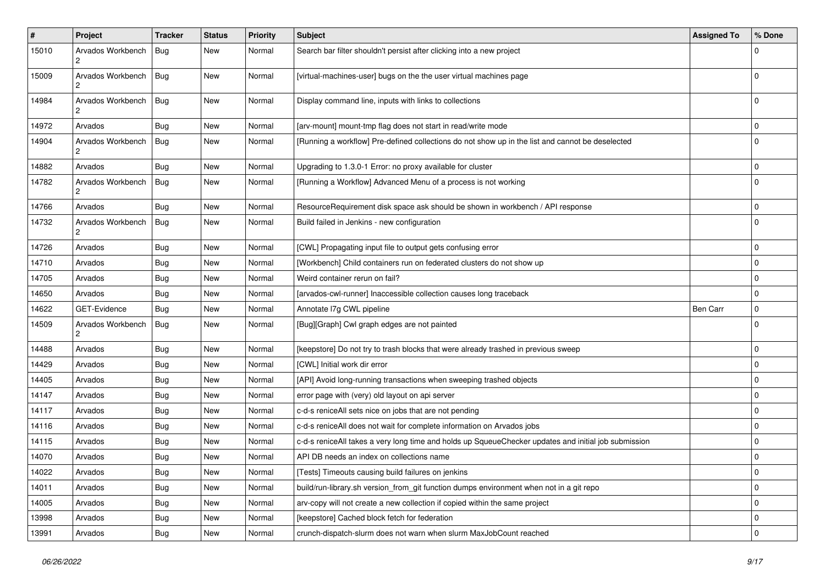| $\pmb{\#}$ | Project                             | <b>Tracker</b> | <b>Status</b> | <b>Priority</b> | <b>Subject</b>                                                                                       | <b>Assigned To</b> | % Done      |
|------------|-------------------------------------|----------------|---------------|-----------------|------------------------------------------------------------------------------------------------------|--------------------|-------------|
| 15010      | Arvados Workbench<br>2              | Bug            | <b>New</b>    | Normal          | Search bar filter shouldn't persist after clicking into a new project                                |                    | $\Omega$    |
| 15009      | Arvados Workbench<br>2              | Bug            | New           | Normal          | [virtual-machines-user] bugs on the the user virtual machines page                                   |                    | $\Omega$    |
| 14984      | Arvados Workbench<br>2              | Bug            | <b>New</b>    | Normal          | Display command line, inputs with links to collections                                               |                    | $\Omega$    |
| 14972      | Arvados                             | <b>Bug</b>     | <b>New</b>    | Normal          | [arv-mount] mount-tmp flag does not start in read/write mode                                         |                    | $\mathbf 0$ |
| 14904      | Arvados Workbench<br>2              | Bug            | <b>New</b>    | Normal          | [Running a workflow] Pre-defined collections do not show up in the list and cannot be deselected     |                    | $\Omega$    |
| 14882      | Arvados                             | Bug            | <b>New</b>    | Normal          | Upgrading to 1.3.0-1 Error: no proxy available for cluster                                           |                    | $\Omega$    |
| 14782      | Arvados Workbench<br>2              | <b>Bug</b>     | <b>New</b>    | Normal          | [Running a Workflow] Advanced Menu of a process is not working                                       |                    | $\Omega$    |
| 14766      | Arvados                             | Bug            | <b>New</b>    | Normal          | ResourceRequirement disk space ask should be shown in workbench / API response                       |                    | $\Omega$    |
| 14732      | Arvados Workbench                   | Bug            | <b>New</b>    | Normal          | Build failed in Jenkins - new configuration                                                          |                    | $\Omega$    |
| 14726      | Arvados                             | Bug            | <b>New</b>    | Normal          | [CWL] Propagating input file to output gets confusing error                                          |                    | $\mathbf 0$ |
| 14710      | Arvados                             | <b>Bug</b>     | <b>New</b>    | Normal          | [Workbench] Child containers run on federated clusters do not show up                                |                    | $\mathbf 0$ |
| 14705      | Arvados                             | <b>Bug</b>     | <b>New</b>    | Normal          | Weird container rerun on fail?                                                                       |                    | $\mathbf 0$ |
| 14650      | Arvados                             | <b>Bug</b>     | <b>New</b>    | Normal          | [arvados-cwl-runner] Inaccessible collection causes long traceback                                   |                    | $\mathbf 0$ |
| 14622      | GET-Evidence                        | <b>Bug</b>     | <b>New</b>    | Normal          | Annotate I7g CWL pipeline                                                                            | Ben Carr           | 0           |
| 14509      | Arvados Workbench<br>$\overline{2}$ | <b>Bug</b>     | <b>New</b>    | Normal          | [Bug][Graph] Cwl graph edges are not painted                                                         |                    | $\Omega$    |
| 14488      | Arvados                             | <b>Bug</b>     | <b>New</b>    | Normal          | [keepstore] Do not try to trash blocks that were already trashed in previous sweep                   |                    | $\mathbf 0$ |
| 14429      | Arvados                             | <b>Bug</b>     | <b>New</b>    | Normal          | [CWL] Initial work dir error                                                                         |                    | 0           |
| 14405      | Arvados                             | <b>Bug</b>     | <b>New</b>    | Normal          | [API] Avoid long-running transactions when sweeping trashed objects                                  |                    | $\mathbf 0$ |
| 14147      | Arvados                             | <b>Bug</b>     | <b>New</b>    | Normal          | error page with (very) old layout on api server                                                      |                    | $\mathbf 0$ |
| 14117      | Arvados                             | <b>Bug</b>     | <b>New</b>    | Normal          | c-d-s reniceAll sets nice on jobs that are not pending                                               |                    | 0           |
| 14116      | Arvados                             | Bug            | <b>New</b>    | Normal          | c-d-s reniceAll does not wait for complete information on Arvados jobs                               |                    | 0           |
| 14115      | Arvados                             | <b>Bug</b>     | <b>New</b>    | Normal          | c-d-s reniceAll takes a very long time and holds up SqueueChecker updates and initial job submission |                    | 0           |
| 14070      | Arvados                             | <b>Bug</b>     | <b>New</b>    | Normal          | API DB needs an index on collections name                                                            |                    | $\mathbf 0$ |
| 14022      | Arvados                             | <b>Bug</b>     | New           | Normal          | [Tests] Timeouts causing build failures on jenkins                                                   |                    | 0           |
| 14011      | Arvados                             | <b>Bug</b>     | New           | Normal          | build/run-library.sh version_from_git function dumps environment when not in a git repo              |                    | 0           |
| 14005      | Arvados                             | <b>Bug</b>     | <b>New</b>    | Normal          | arv-copy will not create a new collection if copied within the same project                          |                    | $\mathbf 0$ |
| 13998      | Arvados                             | Bug            | New           | Normal          | [keepstore] Cached block fetch for federation                                                        |                    | 0           |
| 13991      | Arvados                             | <b>Bug</b>     | New           | Normal          | crunch-dispatch-slurm does not warn when slurm MaxJobCount reached                                   |                    | $\mathbf 0$ |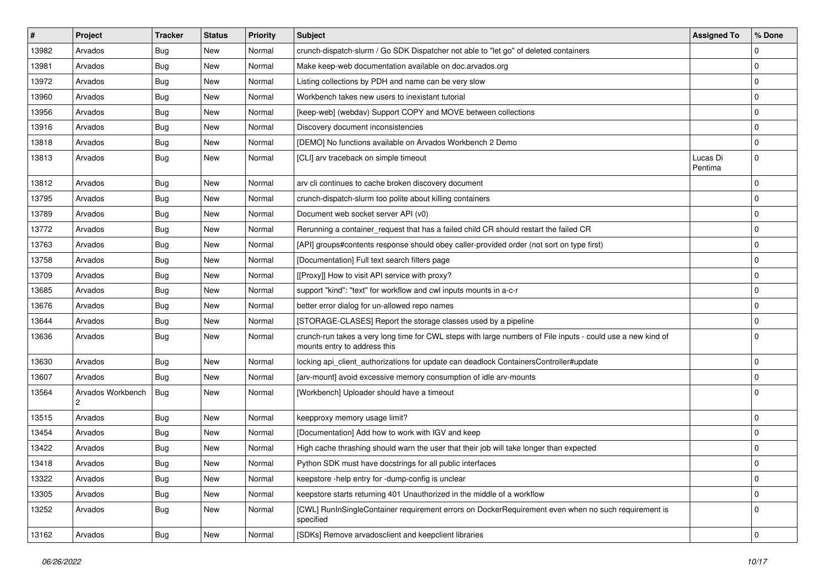| ∦     | Project                | <b>Tracker</b> | <b>Status</b> | <b>Priority</b> | <b>Subject</b>                                                                                                                              | <b>Assigned To</b>  | % Done       |
|-------|------------------------|----------------|---------------|-----------------|---------------------------------------------------------------------------------------------------------------------------------------------|---------------------|--------------|
| 13982 | Arvados                | Bug            | New           | Normal          | crunch-dispatch-slurm / Go SDK Dispatcher not able to "let go" of deleted containers                                                        |                     | <sup>0</sup> |
| 13981 | Arvados                | <b>Bug</b>     | <b>New</b>    | Normal          | Make keep-web documentation available on doc.arvados.org                                                                                    |                     | $\mathbf 0$  |
| 13972 | Arvados                | <b>Bug</b>     | <b>New</b>    | Normal          | Listing collections by PDH and name can be very slow                                                                                        |                     | $\mathbf 0$  |
| 13960 | Arvados                | <b>Bug</b>     | <b>New</b>    | Normal          | Workbench takes new users to inexistant tutorial                                                                                            |                     | $\mathbf 0$  |
| 13956 | Arvados                | Bug            | <b>New</b>    | Normal          | [keep-web] (webdav) Support COPY and MOVE between collections                                                                               |                     | $\mathbf 0$  |
| 13916 | Arvados                | Bug            | New           | Normal          | Discovery document inconsistencies                                                                                                          |                     | $\Omega$     |
| 13818 | Arvados                | Bug            | <b>New</b>    | Normal          | [DEMO] No functions available on Arvados Workbench 2 Demo                                                                                   |                     | $\mathbf 0$  |
| 13813 | Arvados                | Bug            | New           | Normal          | [CLI] arv traceback on simple timeout                                                                                                       | Lucas Di<br>Pentima | 0            |
| 13812 | Arvados                | Bug            | <b>New</b>    | Normal          | arv cli continues to cache broken discovery document                                                                                        |                     | $\mathbf 0$  |
| 13795 | Arvados                | <b>Bug</b>     | <b>New</b>    | Normal          | crunch-dispatch-slurm too polite about killing containers                                                                                   |                     | $\mathbf 0$  |
| 13789 | Arvados                | <b>Bug</b>     | <b>New</b>    | Normal          | Document web socket server API (v0)                                                                                                         |                     | $\mathbf 0$  |
| 13772 | Arvados                | Bug            | <b>New</b>    | Normal          | Rerunning a container_request that has a failed child CR should restart the failed CR                                                       |                     | $\Omega$     |
| 13763 | Arvados                | Bug            | New           | Normal          | [API] groups#contents response should obey caller-provided order (not sort on type first)                                                   |                     | $\mathbf 0$  |
| 13758 | Arvados                | <b>Bug</b>     | <b>New</b>    | Normal          | [Documentation] Full text search filters page                                                                                               |                     | $\mathbf 0$  |
| 13709 | Arvados                | <b>Bug</b>     | New           | Normal          | [[Proxy]] How to visit API service with proxy?                                                                                              |                     | 0            |
| 13685 | Arvados                | Bug            | <b>New</b>    | Normal          | support "kind": "text" for workflow and cwl inputs mounts in a-c-r                                                                          |                     | $\mathbf 0$  |
| 13676 | Arvados                | Bug            | <b>New</b>    | Normal          | better error dialog for un-allowed repo names                                                                                               |                     | $\mathbf 0$  |
| 13644 | Arvados                | Bug            | <b>New</b>    | Normal          | [STORAGE-CLASES] Report the storage classes used by a pipeline                                                                              |                     | $\Omega$     |
| 13636 | Arvados                | Bug            | <b>New</b>    | Normal          | crunch-run takes a very long time for CWL steps with large numbers of File inputs - could use a new kind of<br>mounts entry to address this |                     | $\Omega$     |
| 13630 | Arvados                | Bug            | <b>New</b>    | Normal          | locking api_client_authorizations for update can deadlock ContainersController#update                                                       |                     | $\Omega$     |
| 13607 | Arvados                | Bug            | <b>New</b>    | Normal          | [arv-mount] avoid excessive memory consumption of idle arv-mounts                                                                           |                     | $\Omega$     |
| 13564 | Arvados Workbench<br>2 | Bug            | <b>New</b>    | Normal          | [Workbench] Uploader should have a timeout                                                                                                  |                     | $\Omega$     |
| 13515 | Arvados                | Bug            | New           | Normal          | keepproxy memory usage limit?                                                                                                               |                     | $\mathbf 0$  |
| 13454 | Arvados                | Bug            | <b>New</b>    | Normal          | [Documentation] Add how to work with IGV and keep                                                                                           |                     | $\Omega$     |
| 13422 | Arvados                | <b>Bug</b>     | <b>New</b>    | Normal          | High cache thrashing should warn the user that their job will take longer than expected                                                     |                     | $\mathbf 0$  |
| 13418 | Arvados                | Bug            | New           | Normal          | Python SDK must have docstrings for all public interfaces                                                                                   |                     | $\Omega$     |
| 13322 | Arvados                | Bug            | New           | Normal          | keepstore -help entry for -dump-config is unclear                                                                                           |                     | $\mathbf 0$  |
| 13305 | Arvados                | <b>Bug</b>     | New           | Normal          | keepstore starts returning 401 Unauthorized in the middle of a workflow                                                                     |                     | $\mathbf 0$  |
| 13252 | Arvados                | Bug            | New           | Normal          | [CWL] RunInSingleContainer requirement errors on DockerRequirement even when no such requirement is<br>specified                            |                     | $\mathbf 0$  |
| 13162 | Arvados                | <b>Bug</b>     | New           | Normal          | [SDKs] Remove arvadosclient and keepclient libraries                                                                                        |                     | $\mathbf 0$  |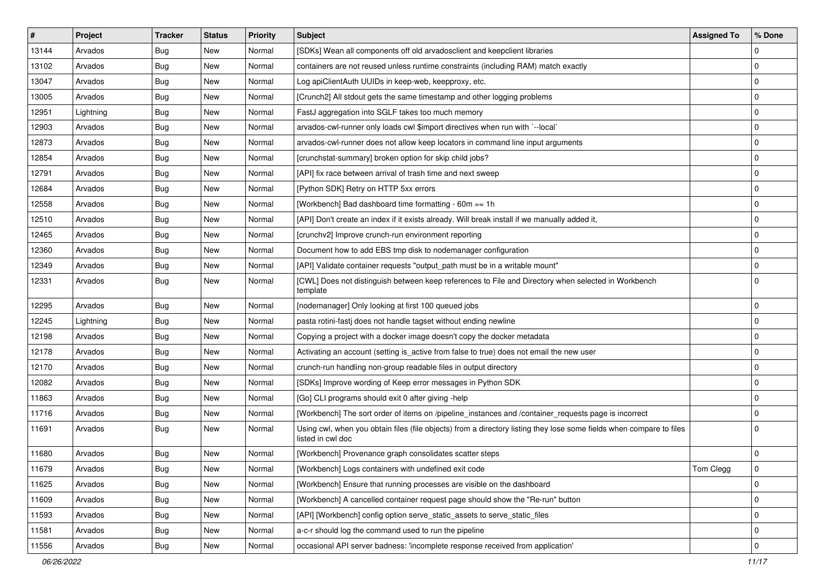| $\vert$ # | Project   | <b>Tracker</b> | <b>Status</b> | <b>Priority</b> | <b>Subject</b>                                                                                                                            | <b>Assigned To</b> | % Done      |
|-----------|-----------|----------------|---------------|-----------------|-------------------------------------------------------------------------------------------------------------------------------------------|--------------------|-------------|
| 13144     | Arvados   | Bug            | New           | Normal          | [SDKs] Wean all components off old arvadosclient and keepclient libraries                                                                 |                    | 0           |
| 13102     | Arvados   | Bug            | <b>New</b>    | Normal          | containers are not reused unless runtime constraints (including RAM) match exactly                                                        |                    | $\mathbf 0$ |
| 13047     | Arvados   | Bug            | New           | Normal          | Log apiClientAuth UUIDs in keep-web, keepproxy, etc.                                                                                      |                    | $\mathbf 0$ |
| 13005     | Arvados   | Bug            | <b>New</b>    | Normal          | [Crunch2] All stdout gets the same timestamp and other logging problems                                                                   |                    | $\Omega$    |
| 12951     | Lightning | Bug            | <b>New</b>    | Normal          | FastJ aggregation into SGLF takes too much memory                                                                                         |                    | 0           |
| 12903     | Arvados   | <b>Bug</b>     | New           | Normal          | arvados-cwl-runner only loads cwl \$import directives when run with `--local`                                                             |                    | $\Omega$    |
| 12873     | Arvados   | <b>Bug</b>     | <b>New</b>    | Normal          | arvados-cwl-runner does not allow keep locators in command line input arguments                                                           |                    | $\mathbf 0$ |
| 12854     | Arvados   | <b>Bug</b>     | New           | Normal          | [crunchstat-summary] broken option for skip child jobs?                                                                                   |                    | 0           |
| 12791     | Arvados   | Bug            | New           | Normal          | [API] fix race between arrival of trash time and next sweep                                                                               |                    | $\mathbf 0$ |
| 12684     | Arvados   | <b>Bug</b>     | <b>New</b>    | Normal          | [Python SDK] Retry on HTTP 5xx errors                                                                                                     |                    | $\mathbf 0$ |
| 12558     | Arvados   | <b>Bug</b>     | New           | Normal          | [Workbench] Bad dashboard time formatting - 60m == 1h                                                                                     |                    | $\mathbf 0$ |
| 12510     | Arvados   | <b>Bug</b>     | <b>New</b>    | Normal          | [API] Don't create an index if it exists already. Will break install if we manually added it,                                             |                    | 0           |
| 12465     | Arvados   | Bug            | New           | Normal          | [crunchv2] Improve crunch-run environment reporting                                                                                       |                    | $\Omega$    |
| 12360     | Arvados   | <b>Bug</b>     | New           | Normal          | Document how to add EBS tmp disk to nodemanager configuration                                                                             |                    | $\mathbf 0$ |
| 12349     | Arvados   | <b>Bug</b>     | <b>New</b>    | Normal          | [API] Validate container requests "output_path must be in a writable mount"                                                               |                    | $\mathbf 0$ |
| 12331     | Arvados   | Bug            | New           | Normal          | [CWL] Does not distinguish between keep references to File and Directory when selected in Workbench<br>template                           |                    | $\mathbf 0$ |
| 12295     | Arvados   | Bug            | New           | Normal          | [nodemanager] Only looking at first 100 queued jobs                                                                                       |                    | $\mathbf 0$ |
| 12245     | Lightning | <b>Bug</b>     | <b>New</b>    | Normal          | pasta rotini-fastj does not handle tagset without ending newline                                                                          |                    | $\Omega$    |
| 12198     | Arvados   | <b>Bug</b>     | <b>New</b>    | Normal          | Copying a project with a docker image doesn't copy the docker metadata                                                                    |                    | $\mathbf 0$ |
| 12178     | Arvados   | Bug            | New           | Normal          | Activating an account (setting is_active from false to true) does not email the new user                                                  |                    | $\Omega$    |
| 12170     | Arvados   | Bug            | New           | Normal          | crunch-run handling non-group readable files in output directory                                                                          |                    | $\mathbf 0$ |
| 12082     | Arvados   | <b>Bug</b>     | <b>New</b>    | Normal          | [SDKs] Improve wording of Keep error messages in Python SDK                                                                               |                    | $\mathbf 0$ |
| 11863     | Arvados   | Bug            | New           | Normal          | [Go] CLI programs should exit 0 after giving -help                                                                                        |                    | $\Omega$    |
| 11716     | Arvados   | <b>Bug</b>     | <b>New</b>    | Normal          | [Workbench] The sort order of items on /pipeline_instances and /container_requests page is incorrect                                      |                    | $\Omega$    |
| 11691     | Arvados   | Bug            | <b>New</b>    | Normal          | Using cwl, when you obtain files (file objects) from a directory listing they lose some fields when compare to files<br>listed in cwl doc |                    | $\Omega$    |
| 11680     | Arvados   | <b>Bug</b>     | <b>New</b>    | Normal          | [Workbench] Provenance graph consolidates scatter steps                                                                                   |                    | $\mathbf 0$ |
| 11679     | Arvados   | Bug            | New           | Normal          | [Workbench] Logs containers with undefined exit code                                                                                      | Tom Clegg          | 0           |
| 11625     | Arvados   | <b>Bug</b>     | New           | Normal          | [Workbench] Ensure that running processes are visible on the dashboard                                                                    |                    | $\mathbf 0$ |
| 11609     | Arvados   | Bug            | New           | Normal          | [Workbench] A cancelled container request page should show the "Re-run" button                                                            |                    | $\mathbf 0$ |
| 11593     | Arvados   | <b>Bug</b>     | New           | Normal          | [API] [Workbench] config option serve_static_assets to serve_static_files                                                                 |                    | $\mathbf 0$ |
| 11581     | Arvados   | <b>Bug</b>     | New           | Normal          | a-c-r should log the command used to run the pipeline                                                                                     |                    | $\mathbf 0$ |
| 11556     | Arvados   | <b>Bug</b>     | New           | Normal          | occasional API server badness: 'incomplete response received from application'                                                            |                    | $\mathbf 0$ |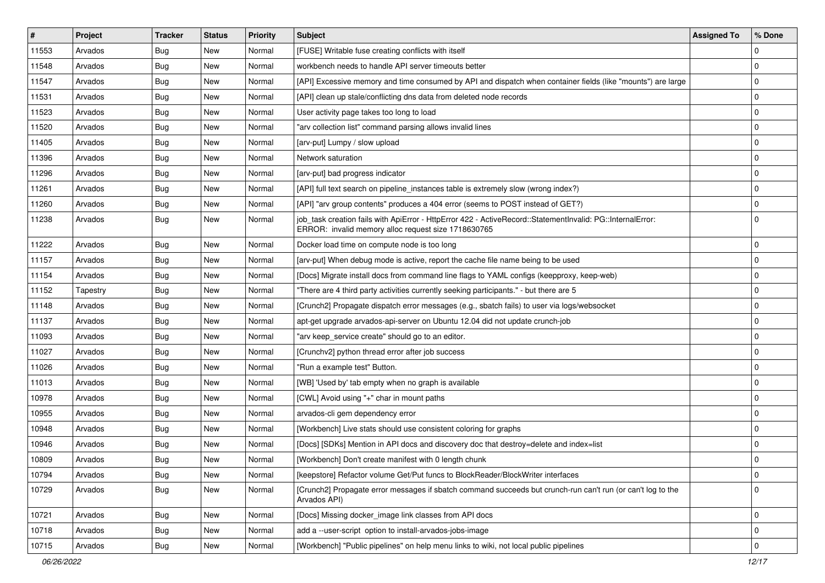| $\sharp$ | Project  | <b>Tracker</b> | <b>Status</b> | <b>Priority</b> | <b>Subject</b>                                                                                                                                                    | <b>Assigned To</b> | % Done      |
|----------|----------|----------------|---------------|-----------------|-------------------------------------------------------------------------------------------------------------------------------------------------------------------|--------------------|-------------|
| 11553    | Arvados  | Bug            | New           | Normal          | [FUSE] Writable fuse creating conflicts with itself                                                                                                               |                    | 0           |
| 11548    | Arvados  | Bug            | New           | Normal          | workbench needs to handle API server timeouts better                                                                                                              |                    | $\mathbf 0$ |
| 11547    | Arvados  | Bug            | New           | Normal          | [API] Excessive memory and time consumed by API and dispatch when container fields (like "mounts") are large                                                      |                    | 0           |
| 11531    | Arvados  | Bug            | New           | Normal          | [API] clean up stale/conflicting dns data from deleted node records                                                                                               |                    | $\mathbf 0$ |
| 11523    | Arvados  | <b>Bug</b>     | <b>New</b>    | Normal          | User activity page takes too long to load                                                                                                                         |                    | $\mathbf 0$ |
| 11520    | Arvados  | <b>Bug</b>     | New           | Normal          | 'arv collection list" command parsing allows invalid lines                                                                                                        |                    | $\mathbf 0$ |
| 11405    | Arvados  | Bug            | New           | Normal          | [arv-put] Lumpy / slow upload                                                                                                                                     |                    | $\mathbf 0$ |
| 11396    | Arvados  | Bug            | New           | Normal          | Network saturation                                                                                                                                                |                    | 0           |
| 11296    | Arvados  | Bug            | New           | Normal          | [arv-put] bad progress indicator                                                                                                                                  |                    | $\Omega$    |
| 11261    | Arvados  | <b>Bug</b>     | <b>New</b>    | Normal          | [API] full text search on pipeline_instances table is extremely slow (wrong index?)                                                                               |                    | $\Omega$    |
| 11260    | Arvados  | Bug            | New           | Normal          | [API] "arv group contents" produces a 404 error (seems to POST instead of GET?)                                                                                   |                    | 0           |
| 11238    | Arvados  | Bug            | New           | Normal          | job_task creation fails with ApiError - HttpError 422 - ActiveRecord::StatementInvalid: PG::InternalError:<br>ERROR: invalid memory alloc request size 1718630765 |                    | $\Omega$    |
| 11222    | Arvados  | <b>Bug</b>     | New           | Normal          | Docker load time on compute node is too long                                                                                                                      |                    | $\Omega$    |
| 11157    | Arvados  | <b>Bug</b>     | New           | Normal          | [arv-put] When debug mode is active, report the cache file name being to be used                                                                                  |                    | $\mathbf 0$ |
| 11154    | Arvados  | Bug            | New           | Normal          | [Docs] Migrate install docs from command line flags to YAML configs (keepproxy, keep-web)                                                                         |                    | 0           |
| 11152    | Tapestry | Bug            | New           | Normal          | There are 4 third party activities currently seeking participants." - but there are 5                                                                             |                    | $\mathbf 0$ |
| 11148    | Arvados  | <b>Bug</b>     | New           | Normal          | [Crunch2] Propagate dispatch error messages (e.g., sbatch fails) to user via logs/websocket                                                                       |                    | 0           |
| 11137    | Arvados  | <b>Bug</b>     | New           | Normal          | apt-get upgrade arvados-api-server on Ubuntu 12.04 did not update crunch-job                                                                                      |                    | $\mathbf 0$ |
| 11093    | Arvados  | <b>Bug</b>     | New           | Normal          | "arv keep_service create" should go to an editor.                                                                                                                 |                    | $\mathbf 0$ |
| 11027    | Arvados  | <b>Bug</b>     | New           | Normal          | [Crunchv2] python thread error after job success                                                                                                                  |                    | 0           |
| 11026    | Arvados  | <b>Bug</b>     | <b>New</b>    | Normal          | "Run a example test" Button.                                                                                                                                      |                    | $\Omega$    |
| 11013    | Arvados  | <b>Bug</b>     | <b>New</b>    | Normal          | [WB] 'Used by' tab empty when no graph is available                                                                                                               |                    | $\mathbf 0$ |
| 10978    | Arvados  | Bug            | New           | Normal          | [CWL] Avoid using "+" char in mount paths                                                                                                                         |                    | $\mathbf 0$ |
| 10955    | Arvados  | Bug            | New           | Normal          | arvados-cli gem dependency error                                                                                                                                  |                    | $\Omega$    |
| 10948    | Arvados  | <b>Bug</b>     | <b>New</b>    | Normal          | [Workbench] Live stats should use consistent coloring for graphs                                                                                                  |                    | $\mathbf 0$ |
| 10946    | Arvados  | Bug            | New           | Normal          | [Docs] [SDKs] Mention in API docs and discovery doc that destroy=delete and index=list                                                                            |                    | $\mathbf 0$ |
| 10809    | Arvados  | <b>Bug</b>     | New           | Normal          | [Workbench] Don't create manifest with 0 length chunk                                                                                                             |                    | $\mathbf 0$ |
| 10794    | Arvados  | Bug            | New           | Normal          | [keepstore] Refactor volume Get/Put funcs to BlockReader/BlockWriter interfaces                                                                                   |                    | 0           |
| 10729    | Arvados  | <b>Bug</b>     | New           | Normal          | [Crunch2] Propagate error messages if sbatch command succeeds but crunch-run can't run (or can't log to the<br>Arvados API)                                       |                    | $\mathbf 0$ |
| 10721    | Arvados  | Bug            | New           | Normal          | [Docs] Missing docker_image link classes from API docs                                                                                                            |                    | $\mathbf 0$ |
| 10718    | Arvados  | <b>Bug</b>     | New           | Normal          | add a --user-script option to install-arvados-jobs-image                                                                                                          |                    | $\mathbf 0$ |
| 10715    | Arvados  | <b>Bug</b>     | New           | Normal          | [Workbench] "Public pipelines" on help menu links to wiki, not local public pipelines                                                                             |                    | $\mathbf 0$ |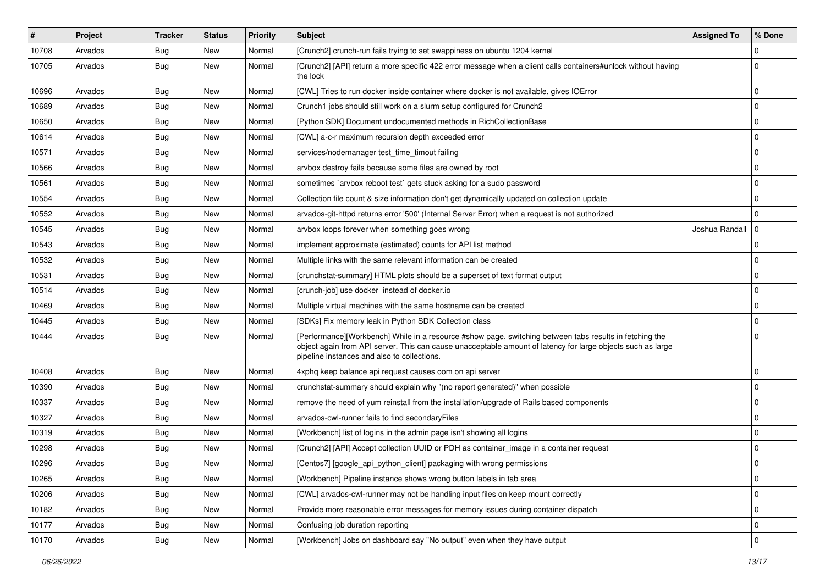| $\pmb{\#}$ | Project | <b>Tracker</b> | <b>Status</b> | <b>Priority</b> | <b>Subject</b>                                                                                                                                                                                                                                                        | <b>Assigned To</b> | % Done         |
|------------|---------|----------------|---------------|-----------------|-----------------------------------------------------------------------------------------------------------------------------------------------------------------------------------------------------------------------------------------------------------------------|--------------------|----------------|
| 10708      | Arvados | Bug            | New           | Normal          | [Crunch2] crunch-run fails trying to set swappiness on ubuntu 1204 kernel                                                                                                                                                                                             |                    | $\Omega$       |
| 10705      | Arvados | <b>Bug</b>     | New           | Normal          | [Crunch2] [API] return a more specific 422 error message when a client calls containers#unlock without having<br>the lock                                                                                                                                             |                    | $\Omega$       |
| 10696      | Arvados | Bug            | New           | Normal          | [CWL] Tries to run docker inside container where docker is not available, gives IOError                                                                                                                                                                               |                    | $\mathbf 0$    |
| 10689      | Arvados | <b>Bug</b>     | <b>New</b>    | Normal          | Crunch1 jobs should still work on a slurm setup configured for Crunch2                                                                                                                                                                                                |                    | $\overline{0}$ |
| 10650      | Arvados | Bug            | New           | Normal          | [Python SDK] Document undocumented methods in RichCollectionBase                                                                                                                                                                                                      |                    | $\mathbf 0$    |
| 10614      | Arvados | <b>Bug</b>     | <b>New</b>    | Normal          | [CWL] a-c-r maximum recursion depth exceeded error                                                                                                                                                                                                                    |                    | $\overline{0}$ |
| 10571      | Arvados | Bug            | New           | Normal          | services/nodemanager test time timout failing                                                                                                                                                                                                                         |                    | $\overline{0}$ |
| 10566      | Arvados | Bug            | <b>New</b>    | Normal          | arvbox destroy fails because some files are owned by root                                                                                                                                                                                                             |                    | $\overline{0}$ |
| 10561      | Arvados | Bug            | New           | Normal          | sometimes `arvbox reboot test` gets stuck asking for a sudo password                                                                                                                                                                                                  |                    | $\overline{0}$ |
| 10554      | Arvados | <b>Bug</b>     | New           | Normal          | Collection file count & size information don't get dynamically updated on collection update                                                                                                                                                                           |                    | $\overline{0}$ |
| 10552      | Arvados | Bug            | New           | Normal          | arvados-git-httpd returns error '500' (Internal Server Error) when a request is not authorized                                                                                                                                                                        |                    | $\overline{0}$ |
| 10545      | Arvados | <b>Bug</b>     | New           | Normal          | arvbox loops forever when something goes wrong                                                                                                                                                                                                                        | Joshua Randall     | 0              |
| 10543      | Arvados | Bug            | New           | Normal          | implement approximate (estimated) counts for API list method                                                                                                                                                                                                          |                    | $\mathbf 0$    |
| 10532      | Arvados | <b>Bug</b>     | <b>New</b>    | Normal          | Multiple links with the same relevant information can be created                                                                                                                                                                                                      |                    | $\overline{0}$ |
| 10531      | Arvados | Bug            | New           | Normal          | [crunchstat-summary] HTML plots should be a superset of text format output                                                                                                                                                                                            |                    | $\overline{0}$ |
| 10514      | Arvados | Bug            | New           | Normal          | [crunch-job] use docker instead of docker.io                                                                                                                                                                                                                          |                    | $\overline{0}$ |
| 10469      | Arvados | Bug            | <b>New</b>    | Normal          | Multiple virtual machines with the same hostname can be created                                                                                                                                                                                                       |                    | $\overline{0}$ |
| 10445      | Arvados | Bug            | New           | Normal          | [SDKs] Fix memory leak in Python SDK Collection class                                                                                                                                                                                                                 |                    | $\overline{0}$ |
| 10444      | Arvados | <b>Bug</b>     | New           | Normal          | [Performance][Workbench] While in a resource #show page, switching between tabs results in fetching the<br>object again from API server. This can cause unacceptable amount of latency for large objects such as large<br>pipeline instances and also to collections. |                    | $\Omega$       |
| 10408      | Arvados | Bug            | <b>New</b>    | Normal          | 4xphq keep balance api request causes oom on api server                                                                                                                                                                                                               |                    | $\overline{0}$ |
| 10390      | Arvados | Bug            | New           | Normal          | crunchstat-summary should explain why "(no report generated)" when possible                                                                                                                                                                                           |                    | $\overline{0}$ |
| 10337      | Arvados | Bug            | <b>New</b>    | Normal          | remove the need of yum reinstall from the installation/upgrade of Rails based components                                                                                                                                                                              |                    | $\mathbf 0$    |
| 10327      | Arvados | <b>Bug</b>     | <b>New</b>    | Normal          | arvados-cwl-runner fails to find secondaryFiles                                                                                                                                                                                                                       |                    | $\overline{0}$ |
| 10319      | Arvados | Bug            | New           | Normal          | [Workbench] list of logins in the admin page isn't showing all logins                                                                                                                                                                                                 |                    | $\overline{0}$ |
| 10298      | Arvados | <b>Bug</b>     | <b>New</b>    | Normal          | [Crunch2] [API] Accept collection UUID or PDH as container image in a container request                                                                                                                                                                               |                    | $\overline{0}$ |
| 10296      | Arvados | Bug            | New           | Normal          | [Centos7] [google_api_python_client] packaging with wrong permissions                                                                                                                                                                                                 |                    | $\overline{0}$ |
| 10265      | Arvados | Bug            | New           | Normal          | [Workbench] Pipeline instance shows wrong button labels in tab area                                                                                                                                                                                                   |                    | $\mathbf 0$    |
| 10206      | Arvados | <b>Bug</b>     | New           | Normal          | [CWL] arvados-cwl-runner may not be handling input files on keep mount correctly                                                                                                                                                                                      |                    | $\mathbf 0$    |
| 10182      | Arvados | Bug            | New           | Normal          | Provide more reasonable error messages for memory issues during container dispatch                                                                                                                                                                                    |                    | $\mathbf 0$    |
| 10177      | Arvados | Bug            | New           | Normal          | Confusing job duration reporting                                                                                                                                                                                                                                      |                    | $\mathbf 0$    |
| 10170      | Arvados | <b>Bug</b>     | New           | Normal          | [Workbench] Jobs on dashboard say "No output" even when they have output                                                                                                                                                                                              |                    | $\mathbf 0$    |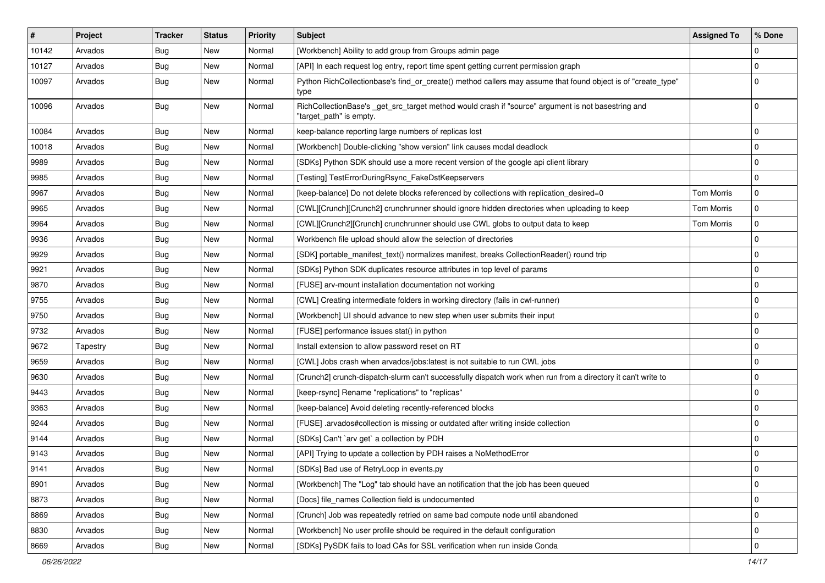| 10142<br>Arvados<br>Bug<br>New<br>[Workbench] Ability to add group from Groups admin page<br>Normal<br>0<br>10127<br>Arvados<br>Bug<br>New<br>$\overline{0}$<br>Normal<br>[API] In each request log entry, report time spent getting current permission graph<br>Bug<br>$\overline{0}$<br>10097<br>Arvados<br>New<br>Normal<br>Python RichCollectionbase's find_or_create() method callers may assume that found object is of "create_type"<br>type<br>10096<br>Arvados<br>Bug<br>Normal<br>RichCollectionBase's _get_src_target method would crash if "source" argument is not basestring and<br>$\overline{0}$<br>New<br>"target_path" is empty.<br>10084<br>Bug<br>$\overline{0}$<br>Arvados<br>New<br>Normal<br>keep-balance reporting large numbers of replicas lost<br>[Workbench] Double-clicking "show version" link causes modal deadlock<br>$\mathbf 0$<br>10018<br>Arvados<br>Bug<br>New<br>Normal<br>9989<br>$\overline{0}$<br>Arvados<br>Bug<br>New<br>[SDKs] Python SDK should use a more recent version of the google api client library<br>Normal<br>[Testing] TestErrorDuringRsync_FakeDstKeepservers<br>$\overline{0}$<br>9985<br>Arvados<br>Bug<br>New<br>Normal<br>[keep-balance] Do not delete blocks referenced by collections with replication_desired=0<br><b>Tom Morris</b><br>$\mathbf 0$<br>9967<br>Arvados<br>Bug<br>New<br>Normal<br>$\overline{0}$<br><b>Tom Morris</b><br>9965<br>Arvados<br>Bug<br>New<br>[CWL][Crunch][Crunch2] crunchrunner should ignore hidden directories when uploading to keep<br>Normal<br>$\mathbf 0$<br>9964<br>[CWL][Crunch2][Crunch] crunchrunner should use CWL globs to output data to keep<br><b>Tom Morris</b><br>Arvados<br>Bug<br>New<br>Normal<br>0<br>9936<br>Arvados<br>New<br>Workbench file upload should allow the selection of directories<br>Bug<br>Normal<br>$\overline{0}$<br>9929<br>Bug<br>Arvados<br>New<br>[SDK] portable_manifest_text() normalizes manifest, breaks CollectionReader() round trip<br>Normal<br>0<br>9921<br>Arvados<br>Bug<br>New<br>[SDKs] Python SDK duplicates resource attributes in top level of params<br>Normal<br>$\mathbf 0$<br>9870<br>Arvados<br>Bug<br>New<br>[FUSE] arv-mount installation documentation not working<br>Normal<br>9755<br>Arvados<br>Bug<br>New<br>[CWL] Creating intermediate folders in working directory (fails in cwl-runner)<br>$\overline{0}$<br>Normal | # | Project | <b>Tracker</b> | <b>Status</b> | <b>Priority</b> | <b>Subject</b> | <b>Assigned To</b> | % Done |
|----------------------------------------------------------------------------------------------------------------------------------------------------------------------------------------------------------------------------------------------------------------------------------------------------------------------------------------------------------------------------------------------------------------------------------------------------------------------------------------------------------------------------------------------------------------------------------------------------------------------------------------------------------------------------------------------------------------------------------------------------------------------------------------------------------------------------------------------------------------------------------------------------------------------------------------------------------------------------------------------------------------------------------------------------------------------------------------------------------------------------------------------------------------------------------------------------------------------------------------------------------------------------------------------------------------------------------------------------------------------------------------------------------------------------------------------------------------------------------------------------------------------------------------------------------------------------------------------------------------------------------------------------------------------------------------------------------------------------------------------------------------------------------------------------------------------------------------------------------------------------------------------------------------------------------------------------------------------------------------------------------------------------------------------------------------------------------------------------------------------------------------------------------------------------------------------------------------------------------------------------------------------------------------------------------------------------------------------------------------------------------------------|---|---------|----------------|---------------|-----------------|----------------|--------------------|--------|
|                                                                                                                                                                                                                                                                                                                                                                                                                                                                                                                                                                                                                                                                                                                                                                                                                                                                                                                                                                                                                                                                                                                                                                                                                                                                                                                                                                                                                                                                                                                                                                                                                                                                                                                                                                                                                                                                                                                                                                                                                                                                                                                                                                                                                                                                                                                                                                                              |   |         |                |               |                 |                |                    |        |
|                                                                                                                                                                                                                                                                                                                                                                                                                                                                                                                                                                                                                                                                                                                                                                                                                                                                                                                                                                                                                                                                                                                                                                                                                                                                                                                                                                                                                                                                                                                                                                                                                                                                                                                                                                                                                                                                                                                                                                                                                                                                                                                                                                                                                                                                                                                                                                                              |   |         |                |               |                 |                |                    |        |
|                                                                                                                                                                                                                                                                                                                                                                                                                                                                                                                                                                                                                                                                                                                                                                                                                                                                                                                                                                                                                                                                                                                                                                                                                                                                                                                                                                                                                                                                                                                                                                                                                                                                                                                                                                                                                                                                                                                                                                                                                                                                                                                                                                                                                                                                                                                                                                                              |   |         |                |               |                 |                |                    |        |
|                                                                                                                                                                                                                                                                                                                                                                                                                                                                                                                                                                                                                                                                                                                                                                                                                                                                                                                                                                                                                                                                                                                                                                                                                                                                                                                                                                                                                                                                                                                                                                                                                                                                                                                                                                                                                                                                                                                                                                                                                                                                                                                                                                                                                                                                                                                                                                                              |   |         |                |               |                 |                |                    |        |
|                                                                                                                                                                                                                                                                                                                                                                                                                                                                                                                                                                                                                                                                                                                                                                                                                                                                                                                                                                                                                                                                                                                                                                                                                                                                                                                                                                                                                                                                                                                                                                                                                                                                                                                                                                                                                                                                                                                                                                                                                                                                                                                                                                                                                                                                                                                                                                                              |   |         |                |               |                 |                |                    |        |
|                                                                                                                                                                                                                                                                                                                                                                                                                                                                                                                                                                                                                                                                                                                                                                                                                                                                                                                                                                                                                                                                                                                                                                                                                                                                                                                                                                                                                                                                                                                                                                                                                                                                                                                                                                                                                                                                                                                                                                                                                                                                                                                                                                                                                                                                                                                                                                                              |   |         |                |               |                 |                |                    |        |
|                                                                                                                                                                                                                                                                                                                                                                                                                                                                                                                                                                                                                                                                                                                                                                                                                                                                                                                                                                                                                                                                                                                                                                                                                                                                                                                                                                                                                                                                                                                                                                                                                                                                                                                                                                                                                                                                                                                                                                                                                                                                                                                                                                                                                                                                                                                                                                                              |   |         |                |               |                 |                |                    |        |
|                                                                                                                                                                                                                                                                                                                                                                                                                                                                                                                                                                                                                                                                                                                                                                                                                                                                                                                                                                                                                                                                                                                                                                                                                                                                                                                                                                                                                                                                                                                                                                                                                                                                                                                                                                                                                                                                                                                                                                                                                                                                                                                                                                                                                                                                                                                                                                                              |   |         |                |               |                 |                |                    |        |
|                                                                                                                                                                                                                                                                                                                                                                                                                                                                                                                                                                                                                                                                                                                                                                                                                                                                                                                                                                                                                                                                                                                                                                                                                                                                                                                                                                                                                                                                                                                                                                                                                                                                                                                                                                                                                                                                                                                                                                                                                                                                                                                                                                                                                                                                                                                                                                                              |   |         |                |               |                 |                |                    |        |
|                                                                                                                                                                                                                                                                                                                                                                                                                                                                                                                                                                                                                                                                                                                                                                                                                                                                                                                                                                                                                                                                                                                                                                                                                                                                                                                                                                                                                                                                                                                                                                                                                                                                                                                                                                                                                                                                                                                                                                                                                                                                                                                                                                                                                                                                                                                                                                                              |   |         |                |               |                 |                |                    |        |
|                                                                                                                                                                                                                                                                                                                                                                                                                                                                                                                                                                                                                                                                                                                                                                                                                                                                                                                                                                                                                                                                                                                                                                                                                                                                                                                                                                                                                                                                                                                                                                                                                                                                                                                                                                                                                                                                                                                                                                                                                                                                                                                                                                                                                                                                                                                                                                                              |   |         |                |               |                 |                |                    |        |
|                                                                                                                                                                                                                                                                                                                                                                                                                                                                                                                                                                                                                                                                                                                                                                                                                                                                                                                                                                                                                                                                                                                                                                                                                                                                                                                                                                                                                                                                                                                                                                                                                                                                                                                                                                                                                                                                                                                                                                                                                                                                                                                                                                                                                                                                                                                                                                                              |   |         |                |               |                 |                |                    |        |
|                                                                                                                                                                                                                                                                                                                                                                                                                                                                                                                                                                                                                                                                                                                                                                                                                                                                                                                                                                                                                                                                                                                                                                                                                                                                                                                                                                                                                                                                                                                                                                                                                                                                                                                                                                                                                                                                                                                                                                                                                                                                                                                                                                                                                                                                                                                                                                                              |   |         |                |               |                 |                |                    |        |
|                                                                                                                                                                                                                                                                                                                                                                                                                                                                                                                                                                                                                                                                                                                                                                                                                                                                                                                                                                                                                                                                                                                                                                                                                                                                                                                                                                                                                                                                                                                                                                                                                                                                                                                                                                                                                                                                                                                                                                                                                                                                                                                                                                                                                                                                                                                                                                                              |   |         |                |               |                 |                |                    |        |
|                                                                                                                                                                                                                                                                                                                                                                                                                                                                                                                                                                                                                                                                                                                                                                                                                                                                                                                                                                                                                                                                                                                                                                                                                                                                                                                                                                                                                                                                                                                                                                                                                                                                                                                                                                                                                                                                                                                                                                                                                                                                                                                                                                                                                                                                                                                                                                                              |   |         |                |               |                 |                |                    |        |
|                                                                                                                                                                                                                                                                                                                                                                                                                                                                                                                                                                                                                                                                                                                                                                                                                                                                                                                                                                                                                                                                                                                                                                                                                                                                                                                                                                                                                                                                                                                                                                                                                                                                                                                                                                                                                                                                                                                                                                                                                                                                                                                                                                                                                                                                                                                                                                                              |   |         |                |               |                 |                |                    |        |
| $\mathbf 0$<br>9750<br>Arvados<br>Bug<br>New<br>Normal<br>[Workbench] UI should advance to new step when user submits their input                                                                                                                                                                                                                                                                                                                                                                                                                                                                                                                                                                                                                                                                                                                                                                                                                                                                                                                                                                                                                                                                                                                                                                                                                                                                                                                                                                                                                                                                                                                                                                                                                                                                                                                                                                                                                                                                                                                                                                                                                                                                                                                                                                                                                                                            |   |         |                |               |                 |                |                    |        |
| 9732<br>$\overline{0}$<br>Arvados<br>Bug<br>New<br>[FUSE] performance issues stat() in python<br>Normal                                                                                                                                                                                                                                                                                                                                                                                                                                                                                                                                                                                                                                                                                                                                                                                                                                                                                                                                                                                                                                                                                                                                                                                                                                                                                                                                                                                                                                                                                                                                                                                                                                                                                                                                                                                                                                                                                                                                                                                                                                                                                                                                                                                                                                                                                      |   |         |                |               |                 |                |                    |        |
| Install extension to allow password reset on RT<br>0<br>9672<br>Bug<br>New<br>Normal<br>Tapestry                                                                                                                                                                                                                                                                                                                                                                                                                                                                                                                                                                                                                                                                                                                                                                                                                                                                                                                                                                                                                                                                                                                                                                                                                                                                                                                                                                                                                                                                                                                                                                                                                                                                                                                                                                                                                                                                                                                                                                                                                                                                                                                                                                                                                                                                                             |   |         |                |               |                 |                |                    |        |
| 9659<br>$\overline{0}$<br>Arvados<br>Bug<br>New<br>[CWL] Jobs crash when arvados/jobs:latest is not suitable to run CWL jobs<br>Normal                                                                                                                                                                                                                                                                                                                                                                                                                                                                                                                                                                                                                                                                                                                                                                                                                                                                                                                                                                                                                                                                                                                                                                                                                                                                                                                                                                                                                                                                                                                                                                                                                                                                                                                                                                                                                                                                                                                                                                                                                                                                                                                                                                                                                                                       |   |         |                |               |                 |                |                    |        |
| 9630<br>Arvados<br>[Crunch2] crunch-dispatch-slurm can't successfully dispatch work when run from a directory it can't write to<br>$\mathbf 0$<br><b>Bug</b><br>New<br>Normal                                                                                                                                                                                                                                                                                                                                                                                                                                                                                                                                                                                                                                                                                                                                                                                                                                                                                                                                                                                                                                                                                                                                                                                                                                                                                                                                                                                                                                                                                                                                                                                                                                                                                                                                                                                                                                                                                                                                                                                                                                                                                                                                                                                                                |   |         |                |               |                 |                |                    |        |
| $\overline{0}$<br>9443<br>Arvados<br>Bug<br>New<br>Normal<br>[keep-rsync] Rename "replications" to "replicas"                                                                                                                                                                                                                                                                                                                                                                                                                                                                                                                                                                                                                                                                                                                                                                                                                                                                                                                                                                                                                                                                                                                                                                                                                                                                                                                                                                                                                                                                                                                                                                                                                                                                                                                                                                                                                                                                                                                                                                                                                                                                                                                                                                                                                                                                                |   |         |                |               |                 |                |                    |        |
| $\overline{0}$<br>9363<br>Arvados<br>Bug<br>[keep-balance] Avoid deleting recently-referenced blocks<br>New<br>Normal                                                                                                                                                                                                                                                                                                                                                                                                                                                                                                                                                                                                                                                                                                                                                                                                                                                                                                                                                                                                                                                                                                                                                                                                                                                                                                                                                                                                                                                                                                                                                                                                                                                                                                                                                                                                                                                                                                                                                                                                                                                                                                                                                                                                                                                                        |   |         |                |               |                 |                |                    |        |
| 9244<br>Arvados<br>Bug<br>[FUSE] .arvados#collection is missing or outdated after writing inside collection<br>$\mathbf 0$<br>New<br>Normal                                                                                                                                                                                                                                                                                                                                                                                                                                                                                                                                                                                                                                                                                                                                                                                                                                                                                                                                                                                                                                                                                                                                                                                                                                                                                                                                                                                                                                                                                                                                                                                                                                                                                                                                                                                                                                                                                                                                                                                                                                                                                                                                                                                                                                                  |   |         |                |               |                 |                |                    |        |
| 9144<br>$\mathbf 0$<br>Arvados<br>Bug<br>New<br>[SDKs] Can't `arv get` a collection by PDH<br>Normal                                                                                                                                                                                                                                                                                                                                                                                                                                                                                                                                                                                                                                                                                                                                                                                                                                                                                                                                                                                                                                                                                                                                                                                                                                                                                                                                                                                                                                                                                                                                                                                                                                                                                                                                                                                                                                                                                                                                                                                                                                                                                                                                                                                                                                                                                         |   |         |                |               |                 |                |                    |        |
| [API] Trying to update a collection by PDH raises a NoMethodError<br>$\overline{0}$<br>9143<br>Arvados<br>Bug<br>New<br>Normal                                                                                                                                                                                                                                                                                                                                                                                                                                                                                                                                                                                                                                                                                                                                                                                                                                                                                                                                                                                                                                                                                                                                                                                                                                                                                                                                                                                                                                                                                                                                                                                                                                                                                                                                                                                                                                                                                                                                                                                                                                                                                                                                                                                                                                                               |   |         |                |               |                 |                |                    |        |
| 9141<br>Arvados<br><b>Bug</b><br>Normal<br>[SDKs] Bad use of RetryLoop in events.py<br>$\bf{0}$<br>New                                                                                                                                                                                                                                                                                                                                                                                                                                                                                                                                                                                                                                                                                                                                                                                                                                                                                                                                                                                                                                                                                                                                                                                                                                                                                                                                                                                                                                                                                                                                                                                                                                                                                                                                                                                                                                                                                                                                                                                                                                                                                                                                                                                                                                                                                       |   |         |                |               |                 |                |                    |        |
| [Workbench] The "Log" tab should have an notification that the job has been queued<br>$\mathbf 0$<br>8901<br>Arvados<br><b>Bug</b><br>New<br>Normal                                                                                                                                                                                                                                                                                                                                                                                                                                                                                                                                                                                                                                                                                                                                                                                                                                                                                                                                                                                                                                                                                                                                                                                                                                                                                                                                                                                                                                                                                                                                                                                                                                                                                                                                                                                                                                                                                                                                                                                                                                                                                                                                                                                                                                          |   |         |                |               |                 |                |                    |        |
| 8873<br>[Docs] file_names Collection field is undocumented<br>$\mathbf 0$<br>Arvados<br>Bug<br>New<br>Normal                                                                                                                                                                                                                                                                                                                                                                                                                                                                                                                                                                                                                                                                                                                                                                                                                                                                                                                                                                                                                                                                                                                                                                                                                                                                                                                                                                                                                                                                                                                                                                                                                                                                                                                                                                                                                                                                                                                                                                                                                                                                                                                                                                                                                                                                                 |   |         |                |               |                 |                |                    |        |
| [Crunch] Job was repeatedly retried on same bad compute node until abandoned<br>$\mathbf 0$<br>8869<br>Arvados<br><b>Bug</b><br>New<br>Normal                                                                                                                                                                                                                                                                                                                                                                                                                                                                                                                                                                                                                                                                                                                                                                                                                                                                                                                                                                                                                                                                                                                                                                                                                                                                                                                                                                                                                                                                                                                                                                                                                                                                                                                                                                                                                                                                                                                                                                                                                                                                                                                                                                                                                                                |   |         |                |               |                 |                |                    |        |
| 8830<br><b>Bug</b><br>[Workbench] No user profile should be required in the default configuration<br>$\overline{0}$<br>Arvados<br>New<br>Normal                                                                                                                                                                                                                                                                                                                                                                                                                                                                                                                                                                                                                                                                                                                                                                                                                                                                                                                                                                                                                                                                                                                                                                                                                                                                                                                                                                                                                                                                                                                                                                                                                                                                                                                                                                                                                                                                                                                                                                                                                                                                                                                                                                                                                                              |   |         |                |               |                 |                |                    |        |
| <b>Bug</b><br>[SDKs] PySDK fails to load CAs for SSL verification when run inside Conda<br>$\mathbf 0$<br>8669<br>Arvados<br>New<br>Normal                                                                                                                                                                                                                                                                                                                                                                                                                                                                                                                                                                                                                                                                                                                                                                                                                                                                                                                                                                                                                                                                                                                                                                                                                                                                                                                                                                                                                                                                                                                                                                                                                                                                                                                                                                                                                                                                                                                                                                                                                                                                                                                                                                                                                                                   |   |         |                |               |                 |                |                    |        |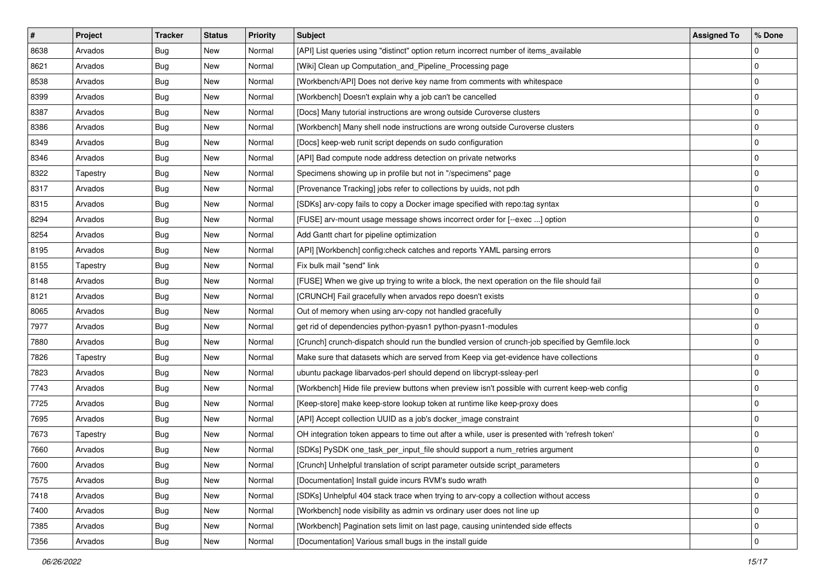| $\sharp$ | Project  | <b>Tracker</b> | <b>Status</b> | <b>Priority</b> | <b>Subject</b>                                                                                  | <b>Assigned To</b> | % Done         |
|----------|----------|----------------|---------------|-----------------|-------------------------------------------------------------------------------------------------|--------------------|----------------|
| 8638     | Arvados  | Bug            | New           | Normal          | [API] List queries using "distinct" option return incorrect number of items_available           |                    | 0              |
| 8621     | Arvados  | Bug            | New           | Normal          | [Wiki] Clean up Computation_and_Pipeline_Processing page                                        |                    | $\overline{0}$ |
| 8538     | Arvados  | Bug            | New           | Normal          | [Workbench/API] Does not derive key name from comments with whitespace                          |                    | $\overline{0}$ |
| 8399     | Arvados  | Bug            | New           | Normal          | [Workbench] Doesn't explain why a job can't be cancelled                                        |                    | $\mathbf 0$    |
| 8387     | Arvados  | Bug            | New           | Normal          | [Docs] Many tutorial instructions are wrong outside Curoverse clusters                          |                    | $\overline{0}$ |
| 8386     | Arvados  | Bug            | New           | Normal          | [Workbench] Many shell node instructions are wrong outside Curoverse clusters                   |                    | $\mathbf 0$    |
| 8349     | Arvados  | Bug            | New           | Normal          | [Docs] keep-web runit script depends on sudo configuration                                      |                    | $\overline{0}$ |
| 8346     | Arvados  | <b>Bug</b>     | New           | Normal          | [API] Bad compute node address detection on private networks                                    |                    | $\overline{0}$ |
| 8322     | Tapestry | Bug            | New           | Normal          | Specimens showing up in profile but not in "/specimens" page                                    |                    | $\overline{0}$ |
| 8317     | Arvados  | <b>Bug</b>     | New           | Normal          | [Provenance Tracking] jobs refer to collections by uuids, not pdh                               |                    | $\mathbf 0$    |
| 8315     | Arvados  | Bug            | New           | Normal          | [SDKs] arv-copy fails to copy a Docker image specified with repo:tag syntax                     |                    | $\overline{0}$ |
| 8294     | Arvados  | Bug            | New           | Normal          | [FUSE] arv-mount usage message shows incorrect order for [--exec ] option                       |                    | $\overline{0}$ |
| 8254     | Arvados  | Bug            | New           | Normal          | Add Gantt chart for pipeline optimization                                                       |                    | $\mathbf 0$    |
| 8195     | Arvados  | Bug            | New           | Normal          | [API] [Workbench] config:check catches and reports YAML parsing errors                          |                    | $\overline{0}$ |
| 8155     | Tapestry | Bug            | New           | Normal          | Fix bulk mail "send" link                                                                       |                    | $\overline{0}$ |
| 8148     | Arvados  | Bug            | New           | Normal          | [FUSE] When we give up trying to write a block, the next operation on the file should fail      |                    | $\overline{0}$ |
| 8121     | Arvados  | Bug            | New           | Normal          | [CRUNCH] Fail gracefully when arvados repo doesn't exists                                       |                    | $\mathbf 0$    |
| 8065     | Arvados  | Bug            | New           | Normal          | Out of memory when using arv-copy not handled gracefully                                        |                    | $\overline{0}$ |
| 7977     | Arvados  | Bug            | New           | Normal          | get rid of dependencies python-pyasn1 python-pyasn1-modules                                     |                    | $\overline{0}$ |
| 7880     | Arvados  | Bug            | New           | Normal          | [Crunch] crunch-dispatch should run the bundled version of crunch-job specified by Gemfile.lock |                    | $\overline{0}$ |
| 7826     | Tapestry | Bug            | New           | Normal          | Make sure that datasets which are served from Keep via get-evidence have collections            |                    | $\overline{0}$ |
| 7823     | Arvados  | Bug            | New           | Normal          | ubuntu package libarvados-perl should depend on libcrypt-ssleay-perl                            |                    | $\overline{0}$ |
| 7743     | Arvados  | Bug            | New           | Normal          | [Workbench] Hide file preview buttons when preview isn't possible with current keep-web config  |                    | $\overline{0}$ |
| 7725     | Arvados  | <b>Bug</b>     | New           | Normal          | [Keep-store] make keep-store lookup token at runtime like keep-proxy does                       |                    | $\pmb{0}$      |
| 7695     | Arvados  | Bug            | New           | Normal          | [API] Accept collection UUID as a job's docker_image constraint                                 |                    | $\overline{0}$ |
| 7673     | Tapestry | Bug            | New           | Normal          | OH integration token appears to time out after a while, user is presented with 'refresh token'  |                    | $\mathbf 0$    |
| 7660     | Arvados  | Bug            | New           | Normal          | [SDKs] PySDK one_task_per_input_file should support a num_retries argument                      |                    | $\mathbf 0$    |
| 7600     | Arvados  | Bug            | New           | Normal          | [Crunch] Unhelpful translation of script parameter outside script_parameters                    |                    | 0              |
| 7575     | Arvados  | <b>Bug</b>     | New           | Normal          | [Documentation] Install guide incurs RVM's sudo wrath                                           |                    | $\mathbf 0$    |
| 7418     | Arvados  | <b>Bug</b>     | New           | Normal          | [SDKs] Unhelpful 404 stack trace when trying to arv-copy a collection without access            |                    | $\mathbf 0$    |
| 7400     | Arvados  | Bug            | New           | Normal          | [Workbench] node visibility as admin vs ordinary user does not line up                          |                    | $\mathbf 0$    |
| 7385     | Arvados  | <b>Bug</b>     | New           | Normal          | [Workbench] Pagination sets limit on last page, causing unintended side effects                 |                    | 0              |
| 7356     | Arvados  | <b>Bug</b>     | New           | Normal          | [Documentation] Various small bugs in the install guide                                         |                    | $\mathbf 0$    |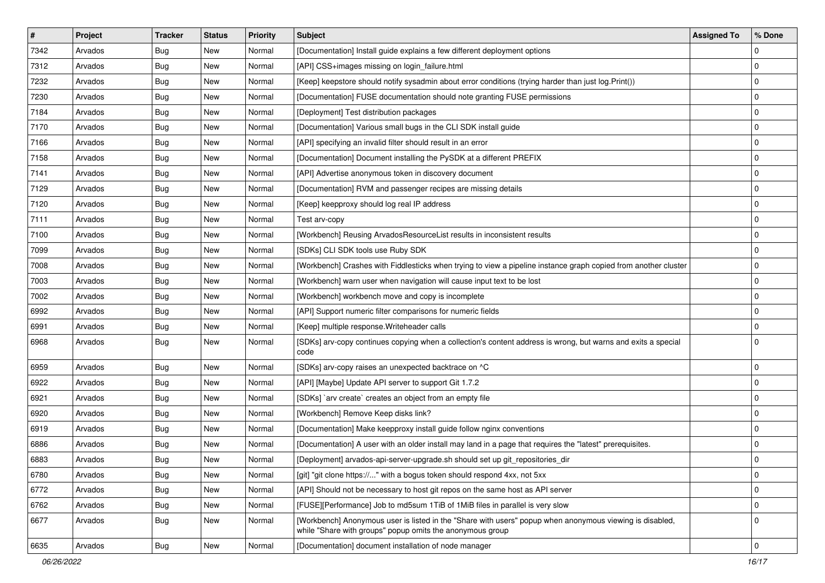| #    | Project | <b>Tracker</b> | <b>Status</b> | <b>Priority</b> | <b>Subject</b>                                                                                                                                                        | <b>Assigned To</b> | % Done      |
|------|---------|----------------|---------------|-----------------|-----------------------------------------------------------------------------------------------------------------------------------------------------------------------|--------------------|-------------|
| 7342 | Arvados | Bug            | New           | Normal          | [Documentation] Install guide explains a few different deployment options                                                                                             |                    | $\Omega$    |
| 7312 | Arvados | <b>Bug</b>     | <b>New</b>    | Normal          | [API] CSS+images missing on login_failure.html                                                                                                                        |                    | $\mathbf 0$ |
| 7232 | Arvados | Bug            | New           | Normal          | [Keep] keepstore should notify sysadmin about error conditions (trying harder than just log.Print())                                                                  |                    | 0           |
| 7230 | Arvados | Bug            | New           | Normal          | [Documentation] FUSE documentation should note granting FUSE permissions                                                                                              |                    | $\mathbf 0$ |
| 7184 | Arvados | <b>Bug</b>     | New           | Normal          | [Deployment] Test distribution packages                                                                                                                               |                    | 0           |
| 7170 | Arvados | Bug            | New           | Normal          | [Documentation] Various small bugs in the CLI SDK install guide                                                                                                       |                    | 0           |
| 7166 | Arvados | <b>Bug</b>     | New           | Normal          | [API] specifying an invalid filter should result in an error                                                                                                          |                    | $\mathbf 0$ |
| 7158 | Arvados | Bug            | New           | Normal          | [Documentation] Document installing the PySDK at a different PREFIX                                                                                                   |                    | 0           |
| 7141 | Arvados | Bug            | New           | Normal          | [API] Advertise anonymous token in discovery document                                                                                                                 |                    | 0           |
| 7129 | Arvados | <b>Bug</b>     | New           | Normal          | [Documentation] RVM and passenger recipes are missing details                                                                                                         |                    | $\mathbf 0$ |
| 7120 | Arvados | <b>Bug</b>     | New           | Normal          | [Keep] keepproxy should log real IP address                                                                                                                           |                    | 0           |
| 7111 | Arvados | <b>Bug</b>     | New           | Normal          | Test arv-copy                                                                                                                                                         |                    | $\mathbf 0$ |
| 7100 | Arvados | Bug            | New           | Normal          | [Workbench] Reusing ArvadosResourceList results in inconsistent results                                                                                               |                    | 0           |
| 7099 | Arvados | Bug            | <b>New</b>    | Normal          | [SDKs] CLI SDK tools use Ruby SDK                                                                                                                                     |                    | $\Omega$    |
| 7008 | Arvados | <b>Bug</b>     | New           | Normal          | [Workbench] Crashes with Fiddlesticks when trying to view a pipeline instance graph copied from another cluster                                                       |                    | $\mathbf 0$ |
| 7003 | Arvados | Bug            | New           | Normal          | [Workbench] warn user when navigation will cause input text to be lost                                                                                                |                    | 0           |
| 7002 | Arvados | Bug            | New           | Normal          | [Workbench] workbench move and copy is incomplete                                                                                                                     |                    | $\mathbf 0$ |
| 6992 | Arvados | <b>Bug</b>     | New           | Normal          | [API] Support numeric filter comparisons for numeric fields                                                                                                           |                    | 0           |
| 6991 | Arvados | Bug            | New           | Normal          | [Keep] multiple response. Writeheader calls                                                                                                                           |                    | $\Omega$    |
| 6968 | Arvados | Bug            | New           | Normal          | [SDKs] arv-copy continues copying when a collection's content address is wrong, but warns and exits a special<br>code                                                 |                    | $\mathbf 0$ |
| 6959 | Arvados | Bug            | <b>New</b>    | Normal          | [SDKs] arv-copy raises an unexpected backtrace on ^C                                                                                                                  |                    | $\Omega$    |
| 6922 | Arvados | <b>Bug</b>     | New           | Normal          | [API] [Maybe] Update API server to support Git 1.7.2                                                                                                                  |                    | $\mathbf 0$ |
| 6921 | Arvados | Bug            | New           | Normal          | [SDKs] `arv create` creates an object from an empty file                                                                                                              |                    | 0           |
| 6920 | Arvados | <b>Bug</b>     | New           | Normal          | [Workbench] Remove Keep disks link?                                                                                                                                   |                    | $\mathbf 0$ |
| 6919 | Arvados | Bug            | New           | Normal          | [Documentation] Make keepproxy install guide follow nginx conventions                                                                                                 |                    | 0           |
| 6886 | Arvados | Bug            | New           | Normal          | [Documentation] A user with an older install may land in a page that requires the "latest" prerequisites.                                                             |                    | $\Omega$    |
| 6883 | Arvados | <b>Bug</b>     | New           | Normal          | [Deployment] arvados-api-server-upgrade.sh should set up git_repositories_dir                                                                                         |                    | $\mathbf 0$ |
| 6780 | Arvados | Bug            | New           | Normal          | [git] "git clone https://" with a bogus token should respond 4xx, not 5xx                                                                                             |                    | $\mathbf 0$ |
| 6772 | Arvados | Bug            | <b>New</b>    | Normal          | [API] Should not be necessary to host git repos on the same host as API server                                                                                        |                    | $\mathbf 0$ |
| 6762 | Arvados | Bug            | New           | Normal          | [FUSE][Performance] Job to md5sum 1TiB of 1MiB files in parallel is very slow                                                                                         |                    | $\mathbf 0$ |
| 6677 | Arvados | <b>Bug</b>     | New           | Normal          | [Workbench] Anonymous user is listed in the "Share with users" popup when anonymous viewing is disabled,<br>while "Share with groups" popup omits the anonymous group |                    | $\Omega$    |
| 6635 | Arvados | <b>Bug</b>     | New           | Normal          | [Documentation] document installation of node manager                                                                                                                 |                    | $\mathbf 0$ |